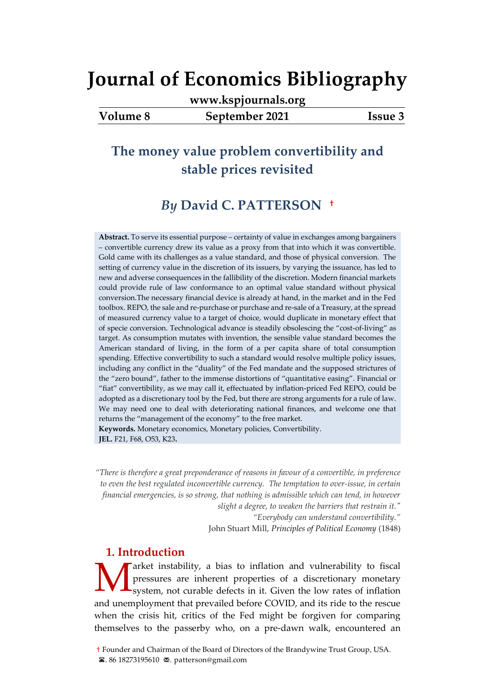**[www.kspjournals.org](file:///G:/26%20Haziran%202021%20Yedek/Akademik/KSP%20Journals/5-%20JEB/82/www.kspjournals.org)**

### **Volume 8 September 2021 Issue 3**

# **The money value problem convertibility and stable prices revisited**

## *By* **David C. PATTERSON[1a](#page-0-0)†**

**Abstract.** To serve its essential purpose – certainty of value in exchanges among bargainers – convertible currency drew its value as a proxy from that into which it was convertible. Gold came with its challenges as a value standard, and those of physical conversion. The setting of currency value in the discretion of its issuers, by varying the issuance, has led to new and adverse consequences in the fallibility of the discretion. Modern financial markets could provide rule of law conformance to an optimal value standard without physical conversion.The necessary financial device is already at hand, in the market and in the Fed toolbox. REPO, the sale and re-purchase or purchase and re-sale of a Treasury, at the spread of measured currency value to a target of choice, would duplicate in monetary effect that of specie conversion. Technological advance is steadily obsolescing the "cost-of-living" as target. As consumption mutates with invention, the sensible value standard becomes the American standard of living, in the form of a per capita share of total consumption spending. Effective convertibility to such a standard would resolve multiple policy issues, including any conflict in the "duality" of the Fed mandate and the supposed strictures of the "zero bound", father to the immense distortions of "quantitative easing". Financial or "fiat" convertibility, as we may call it, effectuated by inflation-priced Fed REPO, could be adopted as a discretionary tool by the Fed, but there are strong arguments for a rule of law. We may need one to deal with deteriorating national finances, and welcome one that returns the "management of the economy" to the free market. **Keywords.** Monetary economics, Monetary policies, Convertibility.

**JEL.** F21, F68, O53, K23**.**

*"There is therefore a great preponderance of reasons in favour of a convertible, in preference to even the best regulated inconvertible currency. The temptation to over-issue, in certain financial emergencies, is so strong, that nothing is admissible which can tend, in however slight a degree, to weaken the barriers that restrain it."*

*"Everybody can understand convertibility."* 

John Stuart Mill, *Principles of Political Economy* (1848)

#### **1. Introduction**

Farket instability, a bias to inflation and vulnerability to fiscal pressures are inherent properties of a discretionary monetary system, not curable defects in it. Given the low rates of inflation and unemployment that prevailed before COVID, and its ride to the rescue when the crisis hit, critics of the Fed might be forgiven for comparing themselves to the passerby who, on a pre-dawn walk, encountered an M

<span id="page-0-0"></span><sup>1</sup>† Founder and Chairman of the Board of Directors of the [Brandywine Trust Group,](http://brandywinetrust.com/) USA. **2.** 86 18273195610  $\blacktriangleright$  patterson@gmail.com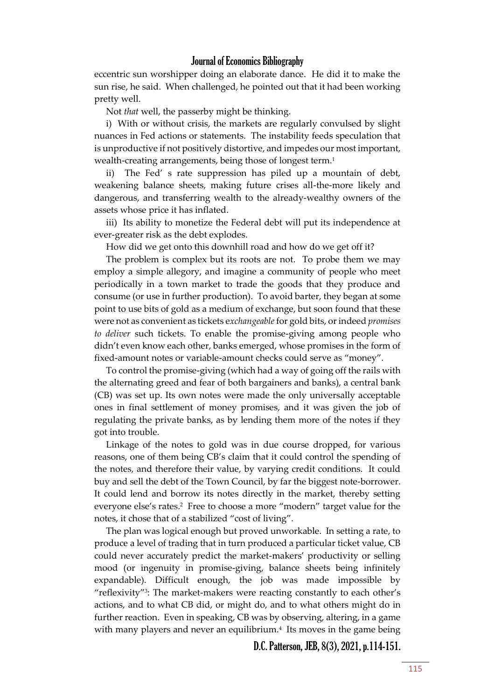eccentric sun worshipper doing an elaborate dance. He did it to make the sun rise, he said. When challenged, he pointed out that it had been working pretty well.

Not *that* well, the passerby might be thinking.

i) With or without crisis, the markets are regularly convulsed by slight nuances in Fed actions or statements. The instability feeds speculation that is unproductive if not positively distortive, and impedes our most important, wealth-creating arrangements, being those of longest term.<sup>1</sup>

ii) The Fed' s rate suppression has piled up a mountain of debt, weakening balance sheets, making future crises all-the-more likely and dangerous, and transferring wealth to the already-wealthy owners of the assets whose price it has inflated.

iii) Its ability to monetize the Federal debt will put its independence at ever-greater risk as the debt explodes.

How did we get onto this downhill road and how do we get off it?

The problem is complex but its roots are not. To probe them we may employ a simple allegory, and imagine a community of people who meet periodically in a town market to trade the goods that they produce and consume (or use in further production). To avoid barter, they began at some point to use bits of gold as a medium of exchange, but soon found that these were not as convenient as tickets e*xchangeable*for gold bits, or indeed *promises to deliver* such tickets. To enable the promise-giving among people who didn't even know each other, banks emerged, whose promises in the form of fixed-amount notes or variable-amount checks could serve as "money".

To control the promise-giving (which had a way of going off the rails with the alternating greed and fear of both bargainers and banks), a central bank (CB) was set up. Its own notes were made the only universally acceptable ones in final settlement of money promises, and it was given the job of regulating the private banks, as by lending them more of the notes if they got into trouble.

Linkage of the notes to gold was in due course dropped, for various reasons, one of them being CB's claim that it could control the spending of the notes, and therefore their value, by varying credit conditions. It could buy and sell the debt of the Town Council, by far the biggest note-borrower. It could lend and borrow its notes directly in the market, thereby setting everyone else's rates.<sup>2</sup> Free to choose a more "modern" target value for the notes, it chose that of a stabilized "cost of living".

The plan was logical enough but proved unworkable. In setting a rate, to produce a level of trading that in turn produced a particular ticket value, CB could never accurately predict the market-makers' productivity or selling mood (or ingenuity in promise-giving, balance sheets being infinitely expandable). Difficult enough, the job was made impossible by "reflexivity"<sup>3</sup> : The market-makers were reacting constantly to each other's actions, and to what CB did, or might do, and to what others might do in further reaction. Even in speaking, CB was by observing, altering, in a game with many players and never an equilibrium.<sup>4</sup> Its moves in the game being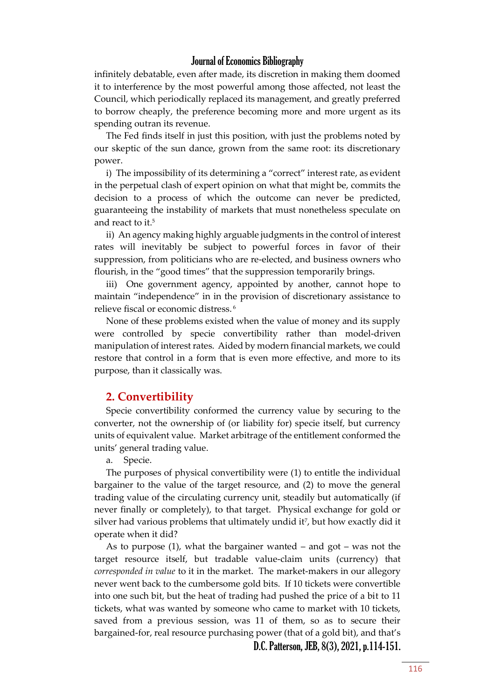infinitely debatable, even after made, its discretion in making them doomed it to interference by the most powerful among those affected, not least the Council, which periodically replaced its management, and greatly preferred to borrow cheaply, the preference becoming more and more urgent as its spending outran its revenue.

The Fed finds itself in just this position, with just the problems noted by our skeptic of the sun dance, grown from the same root: its discretionary power.

i) The impossibility of its determining a "correct" interest rate, as evident in the perpetual clash of expert opinion on what that might be, commits the decision to a process of which the outcome can never be predicted, guaranteeing the instability of markets that must nonetheless speculate on and react to it.<sup>5</sup>

ii) An agency making highly arguable judgments in the control of interest rates will inevitably be subject to powerful forces in favor of their suppression, from politicians who are re-elected, and business owners who flourish, in the "good times" that the suppression temporarily brings.

iii) One government agency, appointed by another, cannot hope to maintain "independence" in in the provision of discretionary assistance to relieve fiscal or economic distress. <sup>6</sup>

None of these problems existed when the value of money and its supply were controlled by specie convertibility rather than model-driven manipulation of interest rates. Aided by modern financial markets, we could restore that control in a form that is even more effective, and more to its purpose, than it classically was.

#### **2. Convertibility**

Specie convertibility conformed the currency value by securing to the converter, not the ownership of (or liability for) specie itself, but currency units of equivalent value. Market arbitrage of the entitlement conformed the units' general trading value.

a. Specie.

The purposes of physical convertibility were (1) to entitle the individual bargainer to the value of the target resource, and (2) to move the general trading value of the circulating currency unit, steadily but automatically (if never finally or completely), to that target. Physical exchange for gold or silver had various problems that ultimately undid it<sup>7</sup> , but how exactly did it operate when it did?

As to purpose  $(1)$ , what the bargainer wanted – and got – was not the target resource itself, but tradable value-claim units (currency) that *corresponded in value* to it in the market. The market-makers in our allegory never went back to the cumbersome gold bits. If 10 tickets were convertible into one such bit, but the heat of trading had pushed the price of a bit to 11 tickets, what was wanted by someone who came to market with 10 tickets, saved from a previous session, was 11 of them, so as to secure their bargained-for, real resource purchasing power (that of a gold bit), and that's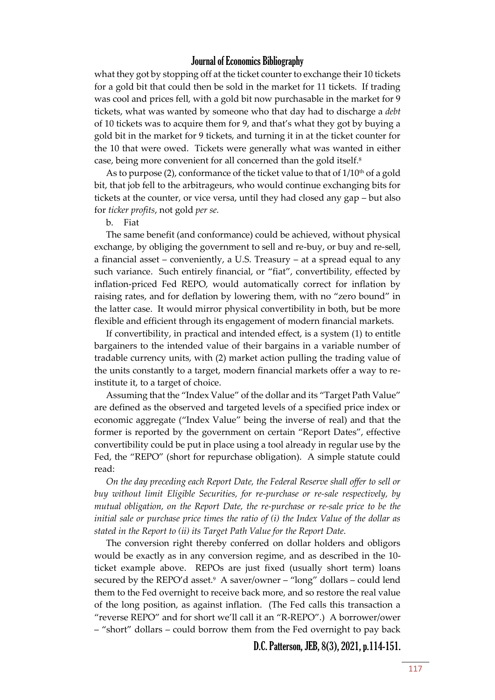what they got by stopping off at the ticket counter to exchange their 10 tickets for a gold bit that could then be sold in the market for 11 tickets. If trading was cool and prices fell, with a gold bit now purchasable in the market for 9 tickets, what was wanted by someone who that day had to discharge a *debt*  of 10 tickets was to acquire them for 9, and that's what they got by buying a gold bit in the market for 9 tickets, and turning it in at the ticket counter for the 10 that were owed. Tickets were generally what was wanted in either case, being more convenient for all concerned than the gold itself.<sup>8</sup>

As to purpose (2), conformance of the ticket value to that of  $1/10<sup>th</sup>$  of a gold bit, that job fell to the arbitrageurs, who would continue exchanging bits for tickets at the counter, or vice versa, until they had closed any gap – but also for *ticker profits*, not gold *per se.* 

#### b. Fiat

The same benefit (and conformance) could be achieved, without physical exchange, by obliging the government to sell and re-buy, or buy and re-sell, a financial asset – conveniently, a U.S. Treasury – at a spread equal to any such variance. Such entirely financial, or "fiat", convertibility, effected by inflation-priced Fed REPO, would automatically correct for inflation by raising rates, and for deflation by lowering them, with no "zero bound" in the latter case. It would mirror physical convertibility in both, but be more flexible and efficient through its engagement of modern financial markets.

If convertibility, in practical and intended effect, is a system (1) to entitle bargainers to the intended value of their bargains in a variable number of tradable currency units, with (2) market action pulling the trading value of the units constantly to a target, modern financial markets offer a way to reinstitute it, to a target of choice.

Assuming that the "Index Value" of the dollar and its "Target Path Value" are defined as the observed and targeted levels of a specified price index or economic aggregate ("Index Value" being the inverse of real) and that the former is reported by the government on certain "Report Dates", effective convertibility could be put in place using a tool already in regular use by the Fed, the "REPO" (short for repurchase obligation). A simple statute could read:

*On the day preceding each Report Date, the Federal Reserve shall offer to sell or buy without limit Eligible Securities, for re-purchase or re-sale respectively, by mutual obligation, on the Report Date, the re-purchase or re-sale price to be the initial sale or purchase price times the ratio of (i) the Index Value of the dollar as stated in the Report to (ii) its Target Path Value for the Report Date.*

The conversion right thereby conferred on dollar holders and obligors would be exactly as in any conversion regime, and as described in the 10 ticket example above. REPOs are just fixed (usually short term) loans secured by the REPO'd asset.<sup>9</sup> A saver/owner – "long" dollars – could lend them to the Fed overnight to receive back more, and so restore the real value of the long position, as against inflation. (The Fed calls this transaction a "reverse REPO" and for short we'll call it an "R-REPO".) A borrower/ower – "short" dollars – could borrow them from the Fed overnight to pay back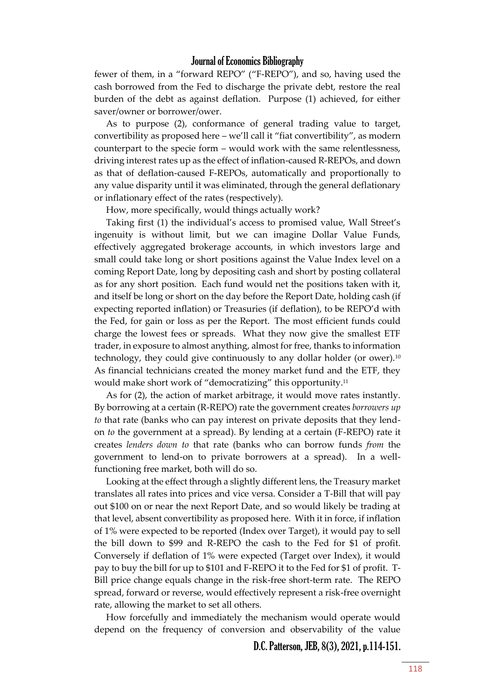fewer of them, in a "forward REPO" ("F-REPO"), and so, having used the cash borrowed from the Fed to discharge the private debt, restore the real burden of the debt as against deflation. Purpose (1) achieved, for either saver/owner or borrower/ower.

As to purpose (2), conformance of general trading value to target, convertibility as proposed here – we'll call it "fiat convertibility", as modern counterpart to the specie form – would work with the same relentlessness, driving interest rates up as the effect of inflation-caused R-REPOs, and down as that of deflation-caused F-REPOs, automatically and proportionally to any value disparity until it was eliminated, through the general deflationary or inflationary effect of the rates (respectively).

How, more specifically, would things actually work?

Taking first (1) the individual's access to promised value, Wall Street's ingenuity is without limit, but we can imagine Dollar Value Funds, effectively aggregated brokerage accounts, in which investors large and small could take long or short positions against the Value Index level on a coming Report Date, long by depositing cash and short by posting collateral as for any short position. Each fund would net the positions taken with it, and itself be long or short on the day before the Report Date, holding cash (if expecting reported inflation) or Treasuries (if deflation), to be REPO'd with the Fed, for gain or loss as per the Report. The most efficient funds could charge the lowest fees or spreads. What they now give the smallest ETF trader, in exposure to almost anything, almost for free, thanks to information technology, they could give continuously to any dollar holder (or ower).<sup>10</sup> As financial technicians created the money market fund and the ETF, they would make short work of "democratizing" this opportunity.<sup>11</sup>

As for (2), the action of market arbitrage, it would move rates instantly. By borrowing at a certain (R-REPO) rate the government creates *borrowers up to* that rate (banks who can pay interest on private deposits that they lendon *to* the government at a spread). By lending at a certain (F-REPO) rate it creates *lenders down to* that rate (banks who can borrow funds *from* the government to lend-on to private borrowers at a spread). In a wellfunctioning free market, both will do so.

Looking at the effect through a slightly different lens, the Treasury market translates all rates into prices and vice versa. Consider a T-Bill that will pay out \$100 on or near the next Report Date, and so would likely be trading at that level, absent convertibility as proposed here. With it in force, if inflation of 1% were expected to be reported (Index over Target), it would pay to sell the bill down to \$99 and R-REPO the cash to the Fed for \$1 of profit. Conversely if deflation of 1% were expected (Target over Index), it would pay to buy the bill for up to \$101 and F-REPO it to the Fed for \$1 of profit. T-Bill price change equals change in the risk-free short-term rate. The REPO spread, forward or reverse, would effectively represent a risk-free overnight rate, allowing the market to set all others.

How forcefully and immediately the mechanism would operate would depend on the frequency of conversion and observability of the value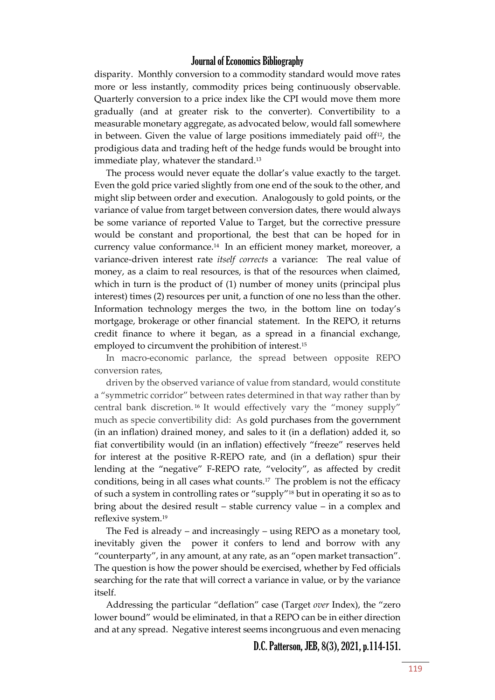disparity. Monthly conversion to a commodity standard would move rates more or less instantly, commodity prices being continuously observable. Quarterly conversion to a price index like the CPI would move them more gradually (and at greater risk to the converter). Convertibility to a measurable monetary aggregate, as advocated below, would fall somewhere in between. Given the value of large positions immediately paid of  $f^{12}$ , the prodigious data and trading heft of the hedge funds would be brought into immediate play, whatever the standard.<sup>13</sup>

The process would never equate the dollar's value exactly to the target. Even the gold price varied slightly from one end of the souk to the other, and might slip between order and execution. Analogously to gold points, or the variance of value from target between conversion dates, there would always be some variance of reported Value to Target, but the corrective pressure would be constant and proportional, the best that can be hoped for in currency value conformance.<sup>14</sup> In an efficient money market, moreover, a variance-driven interest rate *itself corrects* a variance: The real value of money, as a claim to real resources, is that of the resources when claimed, which in turn is the product of (1) number of money units (principal plus interest) times (2) resources per unit, a function of one no less than the other. Information technology merges the two, in the bottom line on today's mortgage, brokerage or other financial statement. In the REPO, it returns credit finance to where it began, as a spread in a financial exchange, employed to circumvent the prohibition of interest.<sup>15</sup>

In macro-economic parlance, the spread between opposite REPO conversion rates,

driven by the observed variance of value from standard, would constitute a "symmetric corridor" between rates determined in that way rather than by central bank discretion. <sup>16</sup> It would effectively vary the "money supply" much as specie convertibility did: As gold purchases from the government (in an inflation) drained money, and sales to it (in a deflation) added it, so fiat convertibility would (in an inflation) effectively "freeze" reserves held for interest at the positive R-REPO rate, and (in a deflation) spur their lending at the "negative" F-REPO rate, "velocity", as affected by credit conditions, being in all cases what counts.<sup>17</sup> The problem is not the efficacy of such a system in controlling rates or "supply"<sup>18</sup> but in operating it so as to bring about the desired result – stable currency value – in a complex and reflexive system.<sup>19</sup>

The Fed is already – and increasingly – using REPO as a monetary tool, inevitably given the power it confers to lend and borrow with any "counterparty", in any amount, at any rate, as an "open market transaction". The question is how the power should be exercised, whether by Fed officials searching for the rate that will correct a variance in value, or by the variance itself.

Addressing the particular "deflation" case (Target *over* Index), the "zero lower bound" would be eliminated, in that a REPO can be in either direction and at any spread. Negative interest seems incongruous and even menacing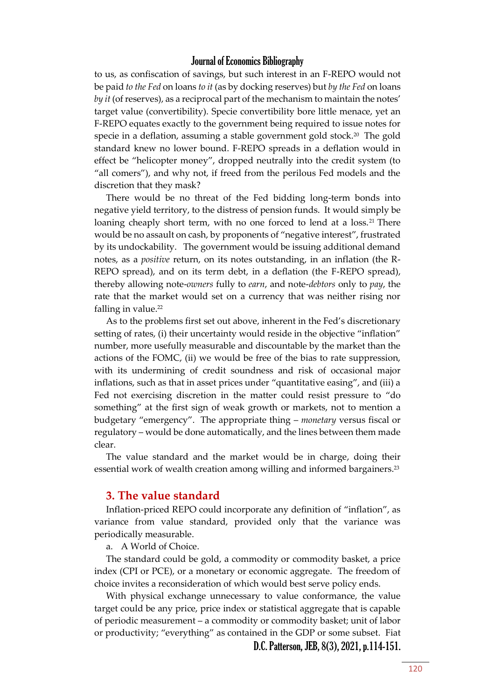to us, as confiscation of savings, but such interest in an F-REPO would not be paid *to the Fed* on loans *to it* (as by docking reserves) but *by the Fed* on loans *by it* (of reserves), as a reciprocal part of the mechanism to maintain the notes' target value (convertibility). Specie convertibility bore little menace, yet an F-REPO equates exactly to the government being required to issue notes for specie in a deflation, assuming a stable government gold stock.<sup>20</sup> The gold standard knew no lower bound. F-REPO spreads in a deflation would in effect be "helicopter money", dropped neutrally into the credit system (to "all comers"), and why not, if freed from the perilous Fed models and the discretion that they mask?

There would be no threat of the Fed bidding long-term bonds into negative yield territory, to the distress of pension funds. It would simply be loaning cheaply short term, with no one forced to lend at a loss.<sup>21</sup> There would be no assault on cash, by proponents of "negative interest", frustrated by its undockability. The government would be issuing additional demand notes, as a *positive* return, on its notes outstanding, in an inflation (the R-REPO spread), and on its term debt, in a deflation (the F-REPO spread), thereby allowing note-*owners* fully to *earn*, and note-*debtors* only to *pay*, the rate that the market would set on a currency that was neither rising nor falling in value.<sup>22</sup>

As to the problems first set out above, inherent in the Fed's discretionary setting of rates, (i) their uncertainty would reside in the objective "inflation" number, more usefully measurable and discountable by the market than the actions of the FOMC, (ii) we would be free of the bias to rate suppression, with its undermining of credit soundness and risk of occasional major inflations, such as that in asset prices under "quantitative easing", and (iii) a Fed not exercising discretion in the matter could resist pressure to "do something" at the first sign of weak growth or markets, not to mention a budgetary "emergency". The appropriate thing – *monetary* versus fiscal or regulatory – would be done automatically, and the lines between them made clear.

The value standard and the market would be in charge, doing their essential work of wealth creation among willing and informed bargainers.<sup>23</sup>

#### **3. The value standard**

Inflation-priced REPO could incorporate any definition of "inflation", as variance from value standard, provided only that the variance was periodically measurable.

a. A World of Choice.

The standard could be gold, a commodity or commodity basket, a price index (CPI or PCE), or a monetary or economic aggregate. The freedom of choice invites a reconsideration of which would best serve policy ends.

With physical exchange unnecessary to value conformance, the value target could be any price, price index or statistical aggregate that is capable of periodic measurement – a commodity or commodity basket; unit of labor or productivity; "everything" as contained in the GDP or some subset. Fiat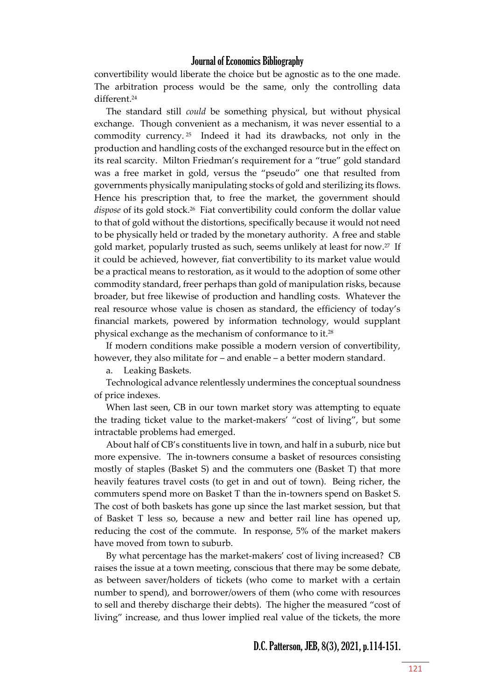convertibility would liberate the choice but be agnostic as to the one made. The arbitration process would be the same, only the controlling data different.<sup>24</sup>

The standard still *could* be something physical, but without physical exchange. Though convenient as a mechanism, it was never essential to a commodity currency. <sup>25</sup> Indeed it had its drawbacks, not only in the production and handling costs of the exchanged resource but in the effect on its real scarcity. Milton Friedman's requirement for a "true" gold standard was a free market in gold, versus the "pseudo" one that resulted from governments physically manipulating stocks of gold and sterilizing its flows. Hence his prescription that, to free the market, the government should dispose of its gold stock.<sup>26</sup> Fiat convertibility could conform the dollar value to that of gold without the distortions, specifically because it would not need to be physically held or traded by the monetary authority. A free and stable gold market, popularly trusted as such, seems unlikely at least for now.<sup>27</sup> If it could be achieved, however, fiat convertibility to its market value would be a practical means to restoration, as it would to the adoption of some other commodity standard, freer perhaps than gold of manipulation risks, because broader, but free likewise of production and handling costs. Whatever the real resource whose value is chosen as standard, the efficiency of today's financial markets, powered by information technology, would supplant physical exchange as the mechanism of conformance to it.<sup>28</sup>

If modern conditions make possible a modern version of convertibility, however, they also militate for – and enable – a better modern standard.

a. Leaking Baskets.

Technological advance relentlessly undermines the conceptual soundness of price indexes.

When last seen, CB in our town market story was attempting to equate the trading ticket value to the market-makers' "cost of living", but some intractable problems had emerged.

About half of CB's constituents live in town, and half in a suburb, nice but more expensive. The in-towners consume a basket of resources consisting mostly of staples (Basket S) and the commuters one (Basket T) that more heavily features travel costs (to get in and out of town). Being richer, the commuters spend more on Basket T than the in-towners spend on Basket S. The cost of both baskets has gone up since the last market session, but that of Basket T less so, because a new and better rail line has opened up, reducing the cost of the commute. In response, 5% of the market makers have moved from town to suburb.

By what percentage has the market-makers' cost of living increased? CB raises the issue at a town meeting, conscious that there may be some debate, as between saver/holders of tickets (who come to market with a certain number to spend), and borrower/owers of them (who come with resources to sell and thereby discharge their debts). The higher the measured "cost of living" increase, and thus lower implied real value of the tickets, the more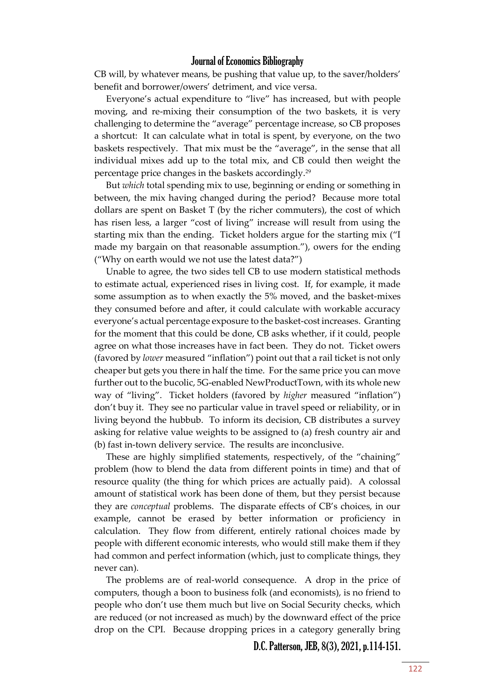CB will, by whatever means, be pushing that value up, to the saver/holders' benefit and borrower/owers' detriment, and vice versa.

Everyone's actual expenditure to "live" has increased, but with people moving, and re-mixing their consumption of the two baskets, it is very challenging to determine the "average" percentage increase, so CB proposes a shortcut: It can calculate what in total is spent, by everyone, on the two baskets respectively. That mix must be the "average", in the sense that all individual mixes add up to the total mix, and CB could then weight the percentage price changes in the baskets accordingly.<sup>29</sup>

But *which* total spending mix to use, beginning or ending or something in between, the mix having changed during the period? Because more total dollars are spent on Basket T (by the richer commuters), the cost of which has risen less, a larger "cost of living" increase will result from using the starting mix than the ending. Ticket holders argue for the starting mix ("I made my bargain on that reasonable assumption."), owers for the ending ("Why on earth would we not use the latest data?")

Unable to agree, the two sides tell CB to use modern statistical methods to estimate actual, experienced rises in living cost. If, for example, it made some assumption as to when exactly the 5% moved, and the basket-mixes they consumed before and after, it could calculate with workable accuracy everyone's actual percentage exposure to the basket-cost increases. Granting for the moment that this could be done, CB asks whether, if it could, people agree on what those increases have in fact been. They do not. Ticket owers (favored by *lower* measured "inflation") point out that a rail ticket is not only cheaper but gets you there in half the time. For the same price you can move further out to the bucolic, 5G-enabled NewProductTown, with its whole new way of "living". Ticket holders (favored by *higher* measured "inflation") don't buy it. They see no particular value in travel speed or reliability, or in living beyond the hubbub. To inform its decision, CB distributes a survey asking for relative value weights to be assigned to (a) fresh country air and (b) fast in-town delivery service. The results are inconclusive.

These are highly simplified statements, respectively, of the "chaining" problem (how to blend the data from different points in time) and that of resource quality (the thing for which prices are actually paid). A colossal amount of statistical work has been done of them, but they persist because they are *conceptual* problems. The disparate effects of CB's choices, in our example, cannot be erased by better information or proficiency in calculation. They flow from different, entirely rational choices made by people with different economic interests, who would still make them if they had common and perfect information (which, just to complicate things, they never can).

The problems are of real-world consequence. A drop in the price of computers, though a boon to business folk (and economists), is no friend to people who don't use them much but live on Social Security checks, which are reduced (or not increased as much) by the downward effect of the price drop on the CPI. Because dropping prices in a category generally bring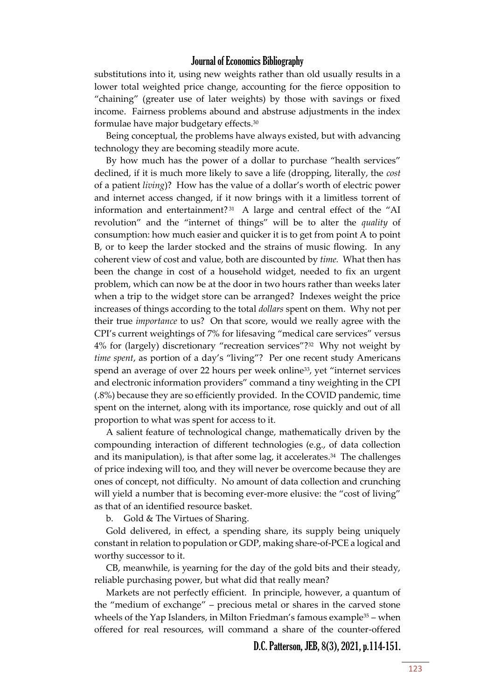substitutions into it, using new weights rather than old usually results in a lower total weighted price change, accounting for the fierce opposition to "chaining" (greater use of later weights) by those with savings or fixed income. Fairness problems abound and abstruse adjustments in the index formulae have major budgetary effects.<sup>30</sup>

Being conceptual, the problems have always existed, but with advancing technology they are becoming steadily more acute.

By how much has the power of a dollar to purchase "health services" declined, if it is much more likely to save a life (dropping, literally, the *cost* of a patient *living*)? How has the value of a dollar's worth of electric power and internet access changed, if it now brings with it a limitless torrent of information and entertainment? <sup>31</sup> A large and central effect of the "AI revolution" and the "internet of things" will be to alter the *quality* of consumption: how much easier and quicker it is to get from point A to point B, or to keep the larder stocked and the strains of music flowing. In any coherent view of cost and value, both are discounted by *time.* What then has been the change in cost of a household widget, needed to fix an urgent problem, which can now be at the door in two hours rather than weeks later when a trip to the widget store can be arranged? Indexes weight the price increases of things according to the total *dollars* spent on them. Why not per their true *importance* to us? On that score, would we really agree with the CPI's current weightings of 7% for lifesaving "medical care services" versus 4% for (largely) discretionary "recreation services"?<sup>32</sup> Why not weight by *time spent*, as portion of a day's "living"? Per one recent study Americans spend an average of over 22 hours per week online<sup>33</sup>, yet "internet services and electronic information providers" command a tiny weighting in the CPI (.8%) because they are so efficiently provided. In the COVID pandemic, time spent on the internet, along with its importance, rose quickly and out of all proportion to what was spent for access to it.

A salient feature of technological change, mathematically driven by the compounding interaction of different technologies (e.g., of data collection and its manipulation), is that after some lag, it accelerates.<sup>34</sup> The challenges of price indexing will too, and they will never be overcome because they are ones of concept, not difficulty. No amount of data collection and crunching will yield a number that is becoming ever-more elusive: the "cost of living" as that of an identified resource basket.

b. Gold & The Virtues of Sharing.

Gold delivered, in effect, a spending share, its supply being uniquely constant in relation to population or GDP, making share-of-PCE a logical and worthy successor to it.

CB, meanwhile, is yearning for the day of the gold bits and their steady, reliable purchasing power, but what did that really mean?

Markets are not perfectly efficient. In principle, however, a quantum of the "medium of exchange" – precious metal or shares in the carved stone wheels of the Yap Islanders, in Milton Friedman's famous example $35 -$  when offered for real resources, will command a share of the counter-offered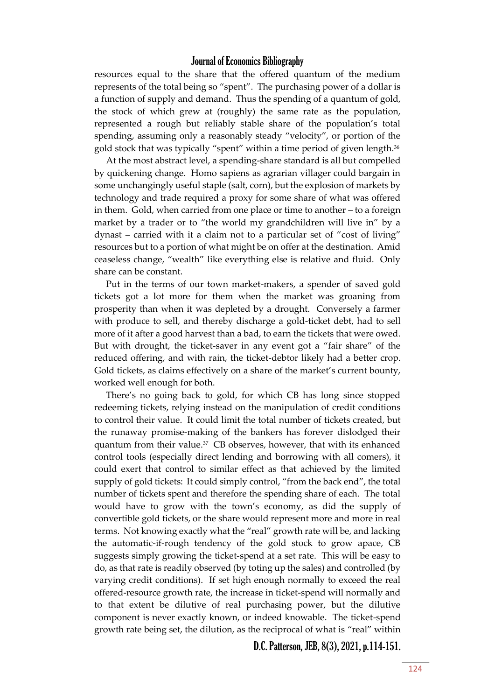resources equal to the share that the offered quantum of the medium represents of the total being so "spent". The purchasing power of a dollar is a function of supply and demand. Thus the spending of a quantum of gold, the stock of which grew at (roughly) the same rate as the population, represented a rough but reliably stable share of the population's total spending, assuming only a reasonably steady "velocity", or portion of the gold stock that was typically "spent" within a time period of given length.<sup>36</sup>

At the most abstract level, a spending-share standard is all but compelled by quickening change. Homo sapiens as agrarian villager could bargain in some unchangingly useful staple (salt, corn), but the explosion of markets by technology and trade required a proxy for some share of what was offered in them. Gold, when carried from one place or time to another – to a foreign market by a trader or to "the world my grandchildren will live in" by a dynast – carried with it a claim not to a particular set of "cost of living" resources but to a portion of what might be on offer at the destination. Amid ceaseless change, "wealth" like everything else is relative and fluid. Only share can be constant.

Put in the terms of our town market-makers, a spender of saved gold tickets got a lot more for them when the market was groaning from prosperity than when it was depleted by a drought. Conversely a farmer with produce to sell, and thereby discharge a gold-ticket debt, had to sell more of it after a good harvest than a bad, to earn the tickets that were owed. But with drought, the ticket-saver in any event got a "fair share" of the reduced offering, and with rain, the ticket-debtor likely had a better crop. Gold tickets, as claims effectively on a share of the market's current bounty, worked well enough for both.

There's no going back to gold, for which CB has long since stopped redeeming tickets, relying instead on the manipulation of credit conditions to control their value. It could limit the total number of tickets created, but the runaway promise-making of the bankers has forever dislodged their quantum from their value.<sup>37</sup> CB observes, however, that with its enhanced control tools (especially direct lending and borrowing with all comers), it could exert that control to similar effect as that achieved by the limited supply of gold tickets: It could simply control, "from the back end", the total number of tickets spent and therefore the spending share of each. The total would have to grow with the town's economy, as did the supply of convertible gold tickets, or the share would represent more and more in real terms. Not knowing exactly what the "real" growth rate will be, and lacking the automatic-if-rough tendency of the gold stock to grow apace, CB suggests simply growing the ticket-spend at a set rate. This will be easy to do, as that rate is readily observed (by toting up the sales) and controlled (by varying credit conditions). If set high enough normally to exceed the real offered-resource growth rate, the increase in ticket-spend will normally and to that extent be dilutive of real purchasing power, but the dilutive component is never exactly known, or indeed knowable. The ticket-spend growth rate being set, the dilution, as the reciprocal of what is "real" within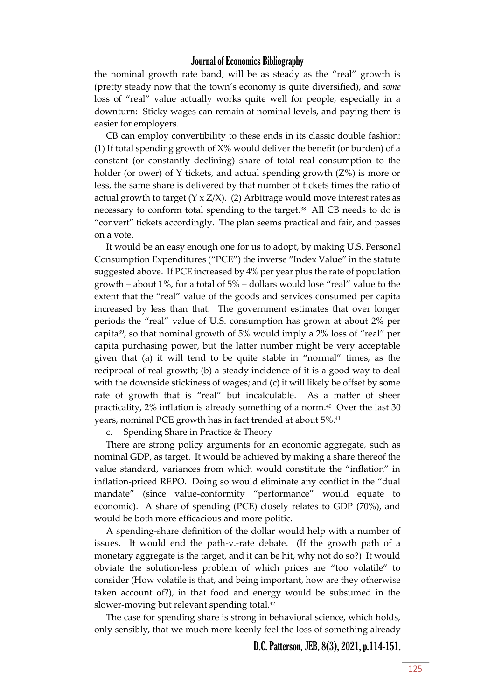the nominal growth rate band, will be as steady as the "real" growth is (pretty steady now that the town's economy is quite diversified), and *some* loss of "real" value actually works quite well for people, especially in a downturn: Sticky wages can remain at nominal levels, and paying them is easier for employers.

CB can employ convertibility to these ends in its classic double fashion: (1) If total spending growth of  $X\%$  would deliver the benefit (or burden) of a constant (or constantly declining) share of total real consumption to the holder (or ower) of Y tickets, and actual spending growth (Z%) is more or less, the same share is delivered by that number of tickets times the ratio of actual growth to target  $(Y \times Z/X)$ . (2) Arbitrage would move interest rates as necessary to conform total spending to the target.<sup>38</sup> All CB needs to do is "convert" tickets accordingly. The plan seems practical and fair, and passes on a vote.

It would be an easy enough one for us to adopt, by making U.S. Personal Consumption Expenditures ("PCE") the inverse "Index Value" in the statute suggested above. If PCE increased by 4% per year plus the rate of population growth – about 1%, for a total of 5% – dollars would lose "real" value to the extent that the "real" value of the goods and services consumed per capita increased by less than that. The government estimates that over longer periods the "real" value of U.S. consumption has grown at about 2% per capita39, so that nominal growth of 5% would imply a 2% loss of "real" per capita purchasing power, but the latter number might be very acceptable given that (a) it will tend to be quite stable in "normal" times, as the reciprocal of real growth; (b) a steady incidence of it is a good way to deal with the downside stickiness of wages; and (c) it will likely be offset by some rate of growth that is "real" but incalculable. As a matter of sheer practicality, 2% inflation is already something of a norm.<sup>40</sup> Over the last 30 years, nominal PCE growth has in fact trended at about 5%.<sup>41</sup>

c. Spending Share in Practice & Theory

There are strong policy arguments for an economic aggregate, such as nominal GDP, as target. It would be achieved by making a share thereof the value standard, variances from which would constitute the "inflation" in inflation-priced REPO. Doing so would eliminate any conflict in the "dual mandate" (since value-conformity "performance" would equate to economic). A share of spending (PCE) closely relates to GDP (70%), and would be both more efficacious and more politic.

A spending-share definition of the dollar would help with a number of issues. It would end the path-v.-rate debate. (If the growth path of a monetary aggregate is the target, and it can be hit, why not do so?) It would obviate the solution-less problem of which prices are "too volatile" to consider (How volatile is that, and being important, how are they otherwise taken account of?), in that food and energy would be subsumed in the slower-moving but relevant spending total.<sup>42</sup>

The case for spending share is strong in behavioral science, which holds, only sensibly, that we much more keenly feel the loss of something already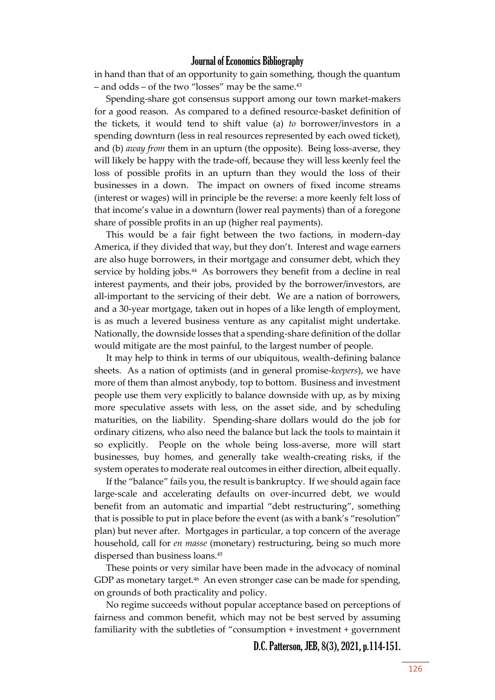in hand than that of an opportunity to gain something, though the quantum – and odds – of the two "losses" may be the same.<sup>43</sup>

Spending-share got consensus support among our town market-makers for a good reason. As compared to a defined resource-basket definition of the tickets, it would tend to shift value (a) *to* borrower/investors in a spending downturn (less in real resources represented by each owed ticket), and (b) *away from* them in an upturn (the opposite). Being loss-averse, they will likely be happy with the trade-off, because they will less keenly feel the loss of possible profits in an upturn than they would the loss of their businesses in a down. The impact on owners of fixed income streams (interest or wages) will in principle be the reverse: a more keenly felt loss of that income's value in a downturn (lower real payments) than of a foregone share of possible profits in an up (higher real payments).

This would be a fair fight between the two factions, in modern-day America, if they divided that way, but they don't. Interest and wage earners are also huge borrowers, in their mortgage and consumer debt, which they service by holding jobs.<sup>44</sup> As borrowers they benefit from a decline in real interest payments, and their jobs, provided by the borrower/investors, are all-important to the servicing of their debt. We are a nation of borrowers, and a 30-year mortgage, taken out in hopes of a like length of employment, is as much a levered business venture as any capitalist might undertake. Nationally, the downside losses that a spending-share definition of the dollar would mitigate are the most painful, to the largest number of people.

It may help to think in terms of our ubiquitous, wealth-defining balance sheets. As a nation of optimists (and in general promise-*keepers*), we have more of them than almost anybody, top to bottom. Business and investment people use them very explicitly to balance downside with up, as by mixing more speculative assets with less, on the asset side, and by scheduling maturities, on the liability. Spending-share dollars would do the job for ordinary citizens, who also need the balance but lack the tools to maintain it so explicitly. People on the whole being loss-averse, more will start businesses, buy homes, and generally take wealth-creating risks, if the system operates to moderate real outcomes in either direction, albeit equally.

If the "balance" fails you, the result is bankruptcy. If we should again face large-scale and accelerating defaults on over-incurred debt, we would benefit from an automatic and impartial "debt restructuring", something that is possible to put in place before the event (as with a bank's "resolution" plan) but never after. Mortgages in particular, a top concern of the average household, call for *en masse* (monetary) restructuring, being so much more dispersed than business loans.<sup>45</sup>

These points or very similar have been made in the advocacy of nominal GDP as monetary target.<sup>46</sup> An even stronger case can be made for spending, on grounds of both practicality and policy.

No regime succeeds without popular acceptance based on perceptions of fairness and common benefit, which may not be best served by assuming familiarity with the subtleties of "consumption + investment + government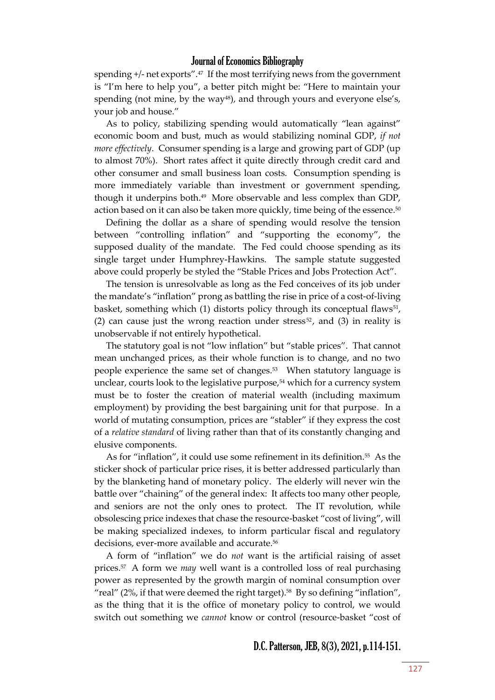spending +/- net exports".<sup>47</sup> If the most terrifying news from the government is "I'm here to help you", a better pitch might be: "Here to maintain your spending (not mine, by the way<sup>48</sup>), and through yours and everyone else's, your job and house."

As to policy, stabilizing spending would automatically "lean against" economic boom and bust, much as would stabilizing nominal GDP, *if not more effectively*. Consumer spending is a large and growing part of GDP (up to almost 70%). Short rates affect it quite directly through credit card and other consumer and small business loan costs. Consumption spending is more immediately variable than investment or government spending, though it underpins both.<sup>49</sup> More observable and less complex than GDP, action based on it can also be taken more quickly, time being of the essence.<sup>50</sup>

Defining the dollar as a share of spending would resolve the tension between "controlling inflation" and "supporting the economy", the supposed duality of the mandate. The Fed could choose spending as its single target under Humphrey-Hawkins. The sample statute suggested above could properly be styled the "Stable Prices and Jobs Protection Act".

The tension is unresolvable as long as the Fed conceives of its job under the mandate's "inflation" prong as battling the rise in price of a cost-of-living basket, something which (1) distorts policy through its conceptual flaws<sup>51</sup>, (2) can cause just the wrong reaction under stress<sup>52</sup>, and (3) in reality is unobservable if not entirely hypothetical.

The statutory goal is not "low inflation" but "stable prices". That cannot mean unchanged prices, as their whole function is to change, and no two people experience the same set of changes.<sup>53</sup> When statutory language is unclear, courts look to the legislative purpose,<sup>54</sup> which for a currency system must be to foster the creation of material wealth (including maximum employment) by providing the best bargaining unit for that purpose. In a world of mutating consumption, prices are "stabler" if they express the cost of a *relative standard* of living rather than that of its constantly changing and elusive components.

As for "inflation", it could use some refinement in its definition.<sup>55</sup> As the sticker shock of particular price rises, it is better addressed particularly than by the blanketing hand of monetary policy. The elderly will never win the battle over "chaining" of the general index: It affects too many other people, and seniors are not the only ones to protect. The IT revolution, while obsolescing price indexes that chase the resource-basket "cost of living", will be making specialized indexes, to inform particular fiscal and regulatory decisions, ever-more available and accurate.<sup>56</sup>

A form of "inflation" we do *not* want is the artificial raising of asset prices.<sup>57</sup> A form we *may* well want is a controlled loss of real purchasing power as represented by the growth margin of nominal consumption over "real" (2%, if that were deemed the right target).<sup>58</sup> By so defining "inflation", as the thing that it is the office of monetary policy to control, we would switch out something we *cannot* know or control (resource-basket "cost of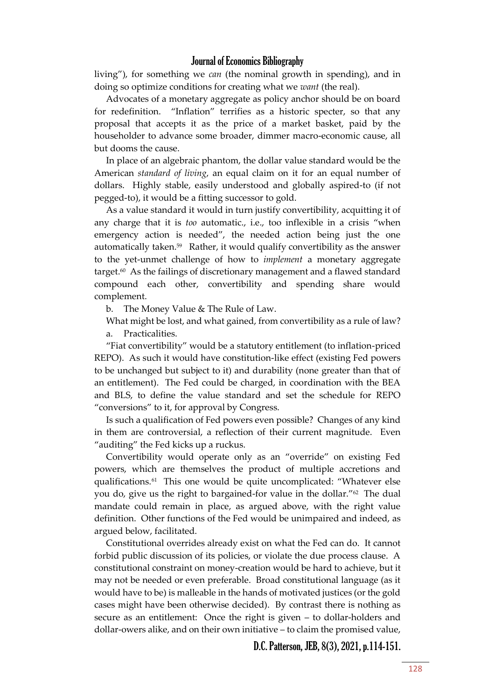living"), for something we *can* (the nominal growth in spending), and in doing so optimize conditions for creating what we *want* (the real).

Advocates of a monetary aggregate as policy anchor should be on board for redefinition. "Inflation" terrifies as a historic specter, so that any proposal that accepts it as the price of a market basket, paid by the householder to advance some broader, dimmer macro-economic cause, all but dooms the cause.

In place of an algebraic phantom, the dollar value standard would be the American *standard of living*, an equal claim on it for an equal number of dollars. Highly stable, easily understood and globally aspired-to (if not pegged-to), it would be a fitting successor to gold.

As a value standard it would in turn justify convertibility, acquitting it of any charge that it is *too* automatic., i.e., too inflexible in a crisis "when emergency action is needed", the needed action being just the one automatically taken.<sup>59</sup> Rather, it would qualify convertibility as the answer to the yet-unmet challenge of how to *implement* a monetary aggregate target.<sup>60</sup> As the failings of discretionary management and a flawed standard compound each other, convertibility and spending share would complement.

b. The Money Value & The Rule of Law.

What might be lost, and what gained, from convertibility as a rule of law? a. Practicalities.

"Fiat convertibility" would be a statutory entitlement (to inflation-priced REPO). As such it would have constitution-like effect (existing Fed powers to be unchanged but subject to it) and durability (none greater than that of an entitlement). The Fed could be charged, in coordination with the BEA and BLS, to define the value standard and set the schedule for REPO "conversions" to it, for approval by Congress.

Is such a qualification of Fed powers even possible? Changes of any kind in them are controversial, a reflection of their current magnitude. Even "auditing" the Fed kicks up a ruckus.

Convertibility would operate only as an "override" on existing Fed powers, which are themselves the product of multiple accretions and qualifications.<sup>61</sup> This one would be quite uncomplicated: "Whatever else you do, give us the right to bargained-for value in the dollar."<sup>62</sup> The dual mandate could remain in place, as argued above, with the right value definition. Other functions of the Fed would be unimpaired and indeed, as argued below, facilitated.

Constitutional overrides already exist on what the Fed can do. It cannot forbid public discussion of its policies, or violate the due process clause. A constitutional constraint on money-creation would be hard to achieve, but it may not be needed or even preferable. Broad constitutional language (as it would have to be) is malleable in the hands of motivated justices (or the gold cases might have been otherwise decided). By contrast there is nothing as secure as an entitlement: Once the right is given – to dollar-holders and dollar-owers alike, and on their own initiative – to claim the promised value,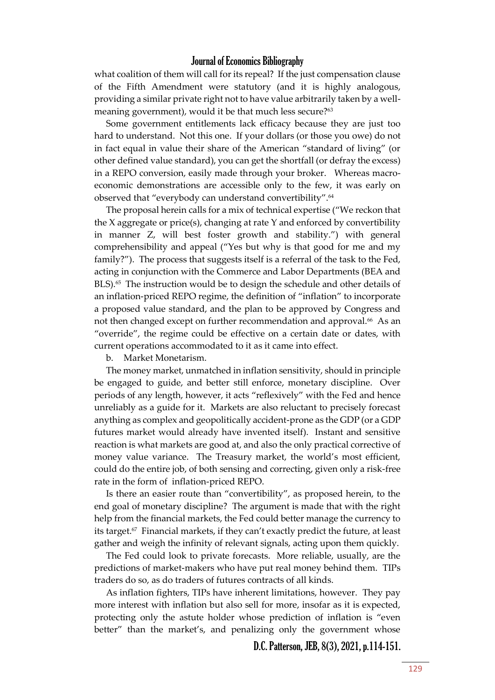what coalition of them will call for its repeal? If the just compensation clause of the Fifth Amendment were statutory (and it is highly analogous, providing a similar private right not to have value arbitrarily taken by a wellmeaning government), would it be that much less secure?<sup>63</sup>

Some government entitlements lack efficacy because they are just too hard to understand. Not this one. If your dollars (or those you owe) do not in fact equal in value their share of the American "standard of living" (or other defined value standard), you can get the shortfall (or defray the excess) in a REPO conversion, easily made through your broker. Whereas macroeconomic demonstrations are accessible only to the few, it was early on observed that "everybody can understand convertibility".<sup>64</sup>

The proposal herein calls for a mix of technical expertise ("We reckon that the X aggregate or price(s), changing at rate Y and enforced by convertibility in manner Z, will best foster growth and stability.") with general comprehensibility and appeal ("Yes but why is that good for me and my family?"). The process that suggests itself is a referral of the task to the Fed, acting in conjunction with the Commerce and Labor Departments (BEA and BLS).<sup>65</sup> The instruction would be to design the schedule and other details of an inflation-priced REPO regime, the definition of "inflation" to incorporate a proposed value standard, and the plan to be approved by Congress and not then changed except on further recommendation and approval.<sup>66</sup> As an "override", the regime could be effective on a certain date or dates, with current operations accommodated to it as it came into effect.

b. Market Monetarism.

The money market, unmatched in inflation sensitivity, should in principle be engaged to guide, and better still enforce, monetary discipline. Over periods of any length, however, it acts "reflexively" with the Fed and hence unreliably as a guide for it. Markets are also reluctant to precisely forecast anything as complex and geopolitically accident-prone as the GDP (or a GDP futures market would already have invented itself). Instant and sensitive reaction is what markets are good at, and also the only practical corrective of money value variance. The Treasury market, the world's most efficient, could do the entire job, of both sensing and correcting, given only a risk-free rate in the form of inflation-priced REPO.

Is there an easier route than "convertibility", as proposed herein, to the end goal of monetary discipline? The argument is made that with the right help from the financial markets, the Fed could better manage the currency to its target.<sup>67</sup> Financial markets, if they can't exactly predict the future, at least gather and weigh the infinity of relevant signals, acting upon them quickly.

The Fed could look to private forecasts. More reliable, usually, are the predictions of market-makers who have put real money behind them. TIPs traders do so, as do traders of futures contracts of all kinds.

As inflation fighters, TIPs have inherent limitations, however. They pay more interest with inflation but also sell for more, insofar as it is expected, protecting only the astute holder whose prediction of inflation is "even better" than the market's, and penalizing only the government whose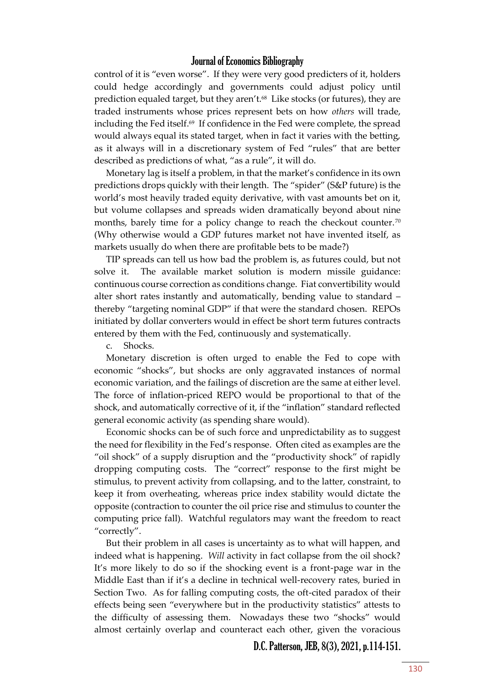control of it is "even worse". If they were very good predicters of it, holders could hedge accordingly and governments could adjust policy until prediction equaled target, but they aren't.<sup>68</sup> Like stocks (or futures), they are traded instruments whose prices represent bets on how *others* will trade, including the Fed itself. $\omega$  If confidence in the Fed were complete, the spread would always equal its stated target, when in fact it varies with the betting, as it always will in a discretionary system of Fed "rules" that are better described as predictions of what, "as a rule", it will do.

Monetary lag is itself a problem, in that the market's confidence in its own predictions drops quickly with their length. The "spider" (S&P future) is the world's most heavily traded equity derivative, with vast amounts bet on it, but volume collapses and spreads widen dramatically beyond about nine months, barely time for a policy change to reach the checkout counter. $^{\tau_0}$ (Why otherwise would a GDP futures market not have invented itself, as markets usually do when there are profitable bets to be made?)

TIP spreads can tell us how bad the problem is, as futures could, but not solve it. The available market solution is modern missile guidance: continuous course correction as conditions change. Fiat convertibility would alter short rates instantly and automatically, bending value to standard – thereby "targeting nominal GDP" if that were the standard chosen. REPOs initiated by dollar converters would in effect be short term futures contracts entered by them with the Fed, continuously and systematically.

c. Shocks.

Monetary discretion is often urged to enable the Fed to cope with economic "shocks", but shocks are only aggravated instances of normal economic variation, and the failings of discretion are the same at either level. The force of inflation-priced REPO would be proportional to that of the shock, and automatically corrective of it, if the "inflation" standard reflected general economic activity (as spending share would).

Economic shocks can be of such force and unpredictability as to suggest the need for flexibility in the Fed's response. Often cited as examples are the "oil shock" of a supply disruption and the "productivity shock" of rapidly dropping computing costs. The "correct" response to the first might be stimulus, to prevent activity from collapsing, and to the latter, constraint, to keep it from overheating, whereas price index stability would dictate the opposite (contraction to counter the oil price rise and stimulus to counter the computing price fall). Watchful regulators may want the freedom to react "correctly".

But their problem in all cases is uncertainty as to what will happen, and indeed what is happening. *Will* activity in fact collapse from the oil shock? It's more likely to do so if the shocking event is a front-page war in the Middle East than if it's a decline in technical well-recovery rates, buried in Section Two. As for falling computing costs, the oft-cited paradox of their effects being seen "everywhere but in the productivity statistics" attests to the difficulty of assessing them. Nowadays these two "shocks" would almost certainly overlap and counteract each other, given the voracious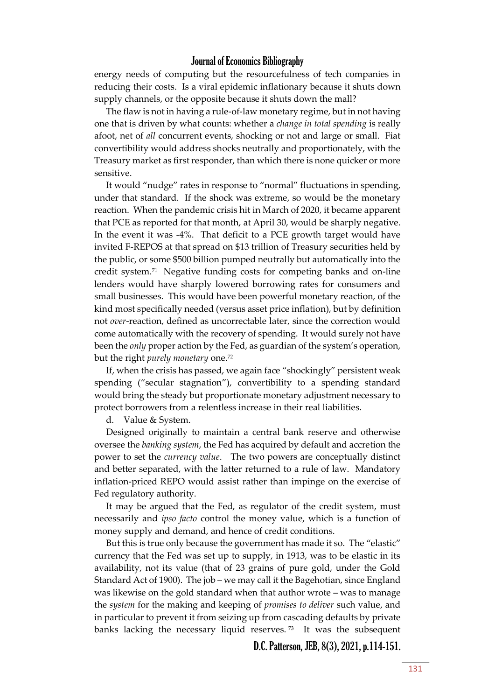energy needs of computing but the resourcefulness of tech companies in reducing their costs. Is a viral epidemic inflationary because it shuts down supply channels, or the opposite because it shuts down the mall?

The flaw is not in having a rule-of-law monetary regime, but in not having one that is driven by what counts: whether a *change in total spending* is really afoot, net of *all* concurrent events, shocking or not and large or small. Fiat convertibility would address shocks neutrally and proportionately, with the Treasury market as first responder, than which there is none quicker or more sensitive.

It would "nudge" rates in response to "normal" fluctuations in spending, under that standard. If the shock was extreme, so would be the monetary reaction. When the pandemic crisis hit in March of 2020, it became apparent that PCE as reported for that month, at April 30, would be sharply negative. In the event it was -4%. That deficit to a PCE growth target would have invited F-REPOS at that spread on \$13 trillion of Treasury securities held by the public, or some \$500 billion pumped neutrally but automatically into the credit system.<sup>71</sup> Negative funding costs for competing banks and on-line lenders would have sharply lowered borrowing rates for consumers and small businesses. This would have been powerful monetary reaction, of the kind most specifically needed (versus asset price inflation), but by definition not *over*-reaction, defined as uncorrectable later, since the correction would come automatically with the recovery of spending. It would surely not have been the *only* proper action by the Fed, as guardian of the system's operation, but the right *purely monetary* one.<sup>72</sup>

If, when the crisis has passed, we again face "shockingly" persistent weak spending ("secular stagnation"), convertibility to a spending standard would bring the steady but proportionate monetary adjustment necessary to protect borrowers from a relentless increase in their real liabilities.

d. Value & System.

Designed originally to maintain a central bank reserve and otherwise oversee the *banking system*, the Fed has acquired by default and accretion the power to set the *currency value*. The two powers are conceptually distinct and better separated, with the latter returned to a rule of law. Mandatory inflation-priced REPO would assist rather than impinge on the exercise of Fed regulatory authority.

It may be argued that the Fed, as regulator of the credit system, must necessarily and *ipso facto* control the money value, which is a function of money supply and demand, and hence of credit conditions.

But this is true only because the government has made it so. The "elastic" currency that the Fed was set up to supply, in 1913, was to be elastic in its availability, not its value (that of 23 grains of pure gold, under the Gold Standard Act of 1900). The job – we may call it the Bagehotian, since England was likewise on the gold standard when that author wrote – was to manage the *system* for the making and keeping of *promises to deliver* such value, and in particular to prevent it from seizing up from cascading defaults by private banks lacking the necessary liquid reserves. <sup>73</sup> It was the subsequent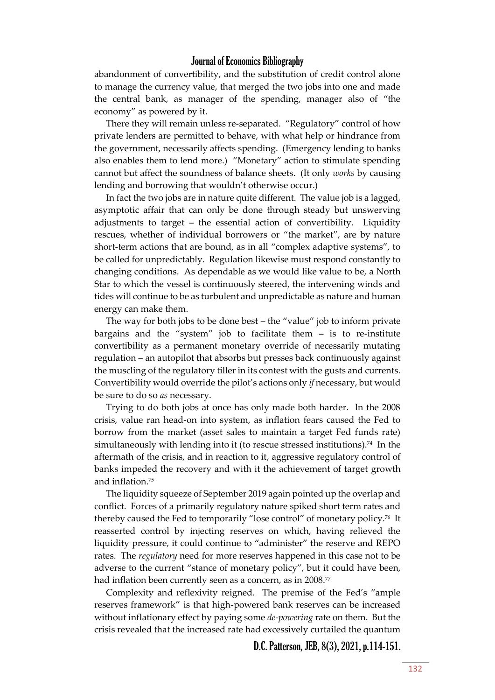abandonment of convertibility, and the substitution of credit control alone to manage the currency value, that merged the two jobs into one and made the central bank, as manager of the spending, manager also of "the economy" as powered by it.

There they will remain unless re-separated. "Regulatory" control of how private lenders are permitted to behave, with what help or hindrance from the government, necessarily affects spending. (Emergency lending to banks also enables them to lend more.) "Monetary" action to stimulate spending cannot but affect the soundness of balance sheets. (It only *works* by causing lending and borrowing that wouldn't otherwise occur.)

In fact the two jobs are in nature quite different. The value job is a lagged, asymptotic affair that can only be done through steady but unswerving adjustments to target – the essential action of convertibility. Liquidity rescues, whether of individual borrowers or "the market", are by nature short-term actions that are bound, as in all "complex adaptive systems", to be called for unpredictably. Regulation likewise must respond constantly to changing conditions. As dependable as we would like value to be, a North Star to which the vessel is continuously steered, the intervening winds and tides will continue to be as turbulent and unpredictable as nature and human energy can make them.

The way for both jobs to be done best – the "value" job to inform private bargains and the "system" job to facilitate them – is to re-institute convertibility as a permanent monetary override of necessarily mutating regulation – an autopilot that absorbs but presses back continuously against the muscling of the regulatory tiller in its contest with the gusts and currents. Convertibility would override the pilot's actions only *if* necessary, but would be sure to do so *as* necessary.

Trying to do both jobs at once has only made both harder. In the 2008 crisis, value ran head-on into system, as inflation fears caused the Fed to borrow from the market (asset sales to maintain a target Fed funds rate) simultaneously with lending into it (to rescue stressed institutions).<sup>74</sup> In the aftermath of the crisis, and in reaction to it, aggressive regulatory control of banks impeded the recovery and with it the achievement of target growth and inflation.<sup>75</sup>

The liquidity squeeze of September 2019 again pointed up the overlap and conflict. Forces of a primarily regulatory nature spiked short term rates and thereby caused the Fed to temporarily "lose control" of monetary policy.<sup>76</sup> It reasserted control by injecting reserves on which, having relieved the liquidity pressure, it could continue to "administer" the reserve and REPO rates. The *regulatory* need for more reserves happened in this case not to be adverse to the current "stance of monetary policy", but it could have been, had inflation been currently seen as a concern, as in 2008.<sup>77</sup>

Complexity and reflexivity reigned. The premise of the Fed's "ample reserves framework" is that high-powered bank reserves can be increased without inflationary effect by paying some *de-powering* rate on them. But the crisis revealed that the increased rate had excessively curtailed the quantum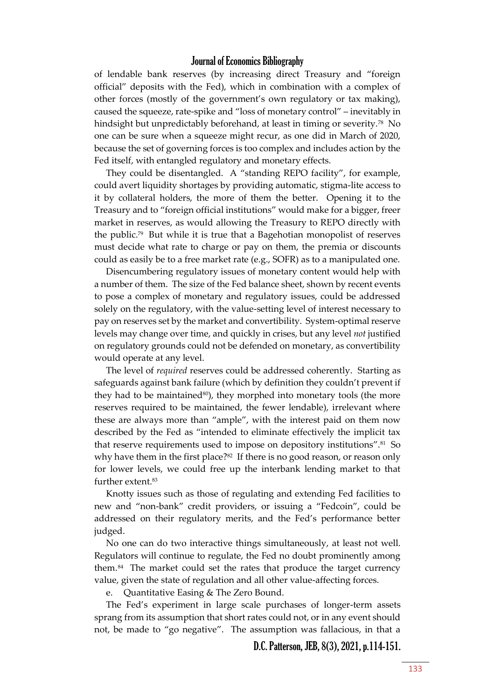of lendable bank reserves (by increasing direct Treasury and "foreign official" deposits with the Fed), which in combination with a complex of other forces (mostly of the government's own regulatory or tax making), caused the squeeze, rate-spike and "loss of monetary control" – inevitably in hindsight but unpredictably beforehand, at least in timing or severity.<sup>78</sup> No one can be sure when a squeeze might recur, as one did in March of 2020, because the set of governing forces is too complex and includes action by the Fed itself, with entangled regulatory and monetary effects.

They could be disentangled. A "standing REPO facility", for example, could avert liquidity shortages by providing automatic, stigma-lite access to it by collateral holders, the more of them the better. Opening it to the Treasury and to "foreign official institutions" would make for a bigger, freer market in reserves, as would allowing the Treasury to REPO directly with the public.<sup>79</sup> But while it is true that a Bagehotian monopolist of reserves must decide what rate to charge or pay on them, the premia or discounts could as easily be to a free market rate (e.g., SOFR) as to a manipulated one.

Disencumbering regulatory issues of monetary content would help with a number of them. The size of the Fed balance sheet, shown by recent events to pose a complex of monetary and regulatory issues, could be addressed solely on the regulatory, with the value-setting level of interest necessary to pay on reserves set by the market and convertibility. System-optimal reserve levels may change over time, and quickly in crises, but any level *not* justified on regulatory grounds could not be defended on monetary, as convertibility would operate at any level.

The level of *required* reserves could be addressed coherently. Starting as safeguards against bank failure (which by definition they couldn't prevent if they had to be maintained $80$ , they morphed into monetary tools (the more reserves required to be maintained, the fewer lendable), irrelevant where these are always more than "ample", with the interest paid on them now described by the Fed as "intended to eliminate effectively the implicit tax that reserve requirements used to impose on depository institutions".<sup>81</sup> So why have them in the first place?<sup>82</sup> If there is no good reason, or reason only for lower levels, we could free up the interbank lending market to that further extent.<sup>83</sup>

Knotty issues such as those of regulating and extending Fed facilities to new and "non-bank" credit providers, or issuing a "Fedcoin", could be addressed on their regulatory merits, and the Fed's performance better judged.

No one can do two interactive things simultaneously, at least not well. Regulators will continue to regulate, the Fed no doubt prominently among them.<sup>84</sup> The market could set the rates that produce the target currency value, given the state of regulation and all other value-affecting forces.

e. Quantitative Easing & The Zero Bound.

The Fed's experiment in large scale purchases of longer-term assets sprang from its assumption that short rates could not, or in any event should not, be made to "go negative". The assumption was fallacious, in that a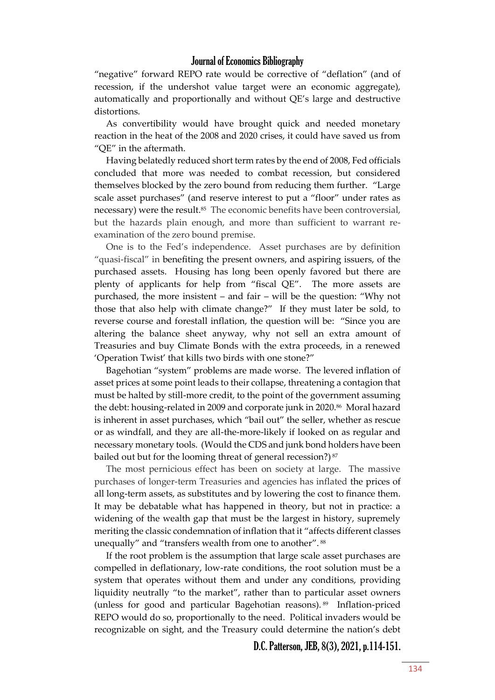"negative" forward REPO rate would be corrective of "deflation" (and of recession, if the undershot value target were an economic aggregate), automatically and proportionally and without QE's large and destructive distortions.

As convertibility would have brought quick and needed monetary reaction in the heat of the 2008 and 2020 crises, it could have saved us from "QE" in the aftermath.

Having belatedly reduced short term rates by the end of 2008, Fed officials concluded that more was needed to combat recession, but considered themselves blocked by the zero bound from reducing them further. "Large scale asset purchases" (and reserve interest to put a "floor" under rates as necessary) were the result.<sup>85</sup> The economic benefits have been controversial, but the hazards plain enough, and more than sufficient to warrant reexamination of the zero bound premise.

One is to the Fed's independence. Asset purchases are by definition "quasi-fiscal" in benefiting the present owners, and aspiring issuers, of the purchased assets. Housing has long been openly favored but there are plenty of applicants for help from "fiscal QE". The more assets are purchased, the more insistent – and fair – will be the question: "Why not those that also help with climate change?" If they must later be sold, to reverse course and forestall inflation, the question will be: "Since you are altering the balance sheet anyway, why not sell an extra amount of Treasuries and buy Climate Bonds with the extra proceeds, in a renewed 'Operation Twist' that kills two birds with one stone?"

Bagehotian "system" problems are made worse. The levered inflation of asset prices at some point leads to their collapse, threatening a contagion that must be halted by still-more credit, to the point of the government assuming the debt: housing-related in 2009 and corporate junk in 2020.<sup>86</sup> Moral hazard is inherent in asset purchases, which "bail out" the seller, whether as rescue or as windfall, and they are all-the-more-likely if looked on as regular and necessary monetary tools. (Would the CDS and junk bond holders have been bailed out but for the looming threat of general recession?) $87$ 

The most pernicious effect has been on society at large. The massive purchases of longer-term Treasuries and agencies has inflated the prices of all long-term assets, as substitutes and by lowering the cost to finance them. It may be debatable what has happened in theory, but not in practice: a widening of the wealth gap that must be the largest in history, supremely meriting the classic condemnation of inflation that it "affects different classes unequally" and "transfers wealth from one to another". 88

If the root problem is the assumption that large scale asset purchases are compelled in deflationary, low-rate conditions, the root solution must be a system that operates without them and under any conditions, providing liquidity neutrally "to the market", rather than to particular asset owners (unless for good and particular Bagehotian reasons). <sup>89</sup> Inflation-priced REPO would do so, proportionally to the need. Political invaders would be recognizable on sight, and the Treasury could determine the nation's debt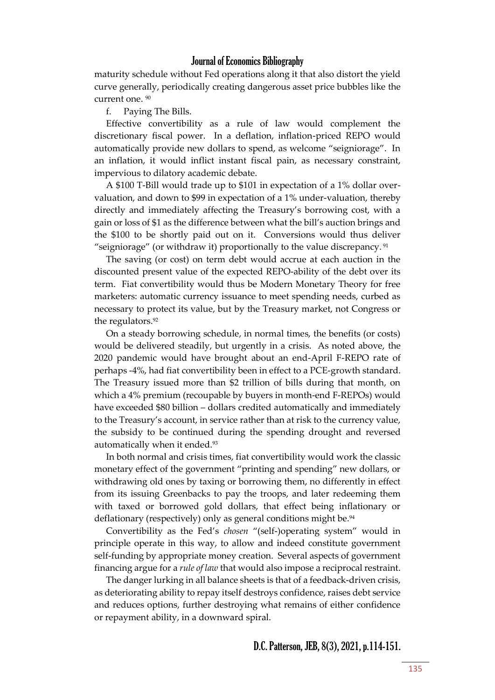maturity schedule without Fed operations along it that also distort the yield curve generally, periodically creating dangerous asset price bubbles like the current one. <sup>90</sup>

f. Paying The Bills.

Effective convertibility as a rule of law would complement the discretionary fiscal power. In a deflation, inflation-priced REPO would automatically provide new dollars to spend, as welcome "seigniorage". In an inflation, it would inflict instant fiscal pain, as necessary constraint, impervious to dilatory academic debate.

A \$100 T-Bill would trade up to \$101 in expectation of a 1% dollar overvaluation, and down to \$99 in expectation of a 1% under-valuation, thereby directly and immediately affecting the Treasury's borrowing cost, with a gain or loss of \$1 as the difference between what the bill's auction brings and the \$100 to be shortly paid out on it. Conversions would thus deliver "seigniorage" (or withdraw it) proportionally to the value discrepancy. <sup>91</sup>

The saving (or cost) on term debt would accrue at each auction in the discounted present value of the expected REPO-ability of the debt over its term. Fiat convertibility would thus be Modern Monetary Theory for free marketers: automatic currency issuance to meet spending needs, curbed as necessary to protect its value, but by the Treasury market, not Congress or the regulators.<sup>92</sup>

On a steady borrowing schedule, in normal times, the benefits (or costs) would be delivered steadily, but urgently in a crisis. As noted above, the 2020 pandemic would have brought about an end-April F-REPO rate of perhaps -4%, had fiat convertibility been in effect to a PCE-growth standard. The Treasury issued more than \$2 trillion of bills during that month, on which a 4% premium (recoupable by buyers in month-end F-REPOs) would have exceeded \$80 billion – dollars credited automatically and immediately to the Treasury's account, in service rather than at risk to the currency value, the subsidy to be continued during the spending drought and reversed automatically when it ended.<sup>93</sup>

In both normal and crisis times, fiat convertibility would work the classic monetary effect of the government "printing and spending" new dollars, or withdrawing old ones by taxing or borrowing them, no differently in effect from its issuing Greenbacks to pay the troops, and later redeeming them with taxed or borrowed gold dollars, that effect being inflationary or deflationary (respectively) only as general conditions might be.<sup>94</sup>

Convertibility as the Fed's *chosen* "(self-)operating system" would in principle operate in this way, to allow and indeed constitute government self-funding by appropriate money creation. Several aspects of government financing argue for a *rule of law* that would also impose a reciprocal restraint.

The danger lurking in all balance sheets is that of a feedback-driven crisis, as deteriorating ability to repay itself destroys confidence, raises debt service and reduces options, further destroying what remains of either confidence or repayment ability, in a downward spiral.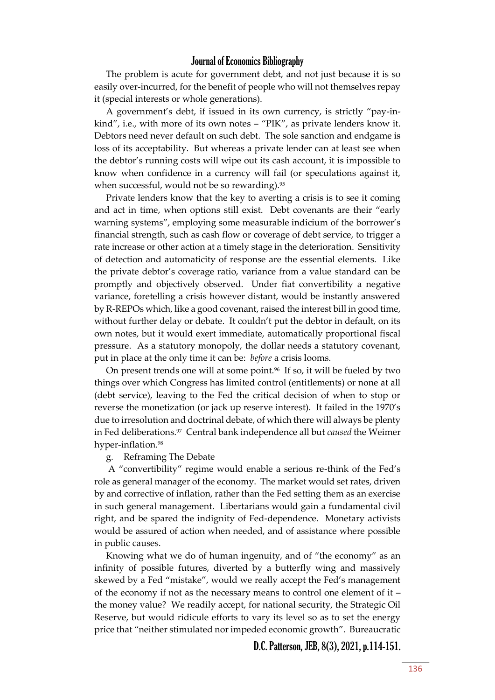The problem is acute for government debt, and not just because it is so easily over-incurred, for the benefit of people who will not themselves repay it (special interests or whole generations).

A government's debt, if issued in its own currency, is strictly "pay-inkind", i.e., with more of its own notes – "PIK", as private lenders know it. Debtors need never default on such debt. The sole sanction and endgame is loss of its acceptability. But whereas a private lender can at least see when the debtor's running costs will wipe out its cash account, it is impossible to know when confidence in a currency will fail (or speculations against it, when successful, would not be so rewarding).<sup>95</sup>

Private lenders know that the key to averting a crisis is to see it coming and act in time, when options still exist. Debt covenants are their "early warning systems", employing some measurable indicium of the borrower's financial strength, such as cash flow or coverage of debt service, to trigger a rate increase or other action at a timely stage in the deterioration. Sensitivity of detection and automaticity of response are the essential elements. Like the private debtor's coverage ratio, variance from a value standard can be promptly and objectively observed. Under fiat convertibility a negative variance, foretelling a crisis however distant, would be instantly answered by R-REPOs which, like a good covenant, raised the interest bill in good time, without further delay or debate. It couldn't put the debtor in default, on its own notes, but it would exert immediate, automatically proportional fiscal pressure. As a statutory monopoly, the dollar needs a statutory covenant, put in place at the only time it can be: *before* a crisis looms.

On present trends one will at some point.<sup>96</sup> If so, it will be fueled by two things over which Congress has limited control (entitlements) or none at all (debt service), leaving to the Fed the critical decision of when to stop or reverse the monetization (or jack up reserve interest). It failed in the 1970's due to irresolution and doctrinal debate, of which there will always be plenty in Fed deliberations.<sup>97</sup> Central bank independence all but *caused* the Weimer hyper-inflation.<sup>98</sup>

g. Reframing The Debate

A "convertibility" regime would enable a serious re-think of the Fed's role as general manager of the economy. The market would set rates, driven by and corrective of inflation, rather than the Fed setting them as an exercise in such general management. Libertarians would gain a fundamental civil right, and be spared the indignity of Fed-dependence. Monetary activists would be assured of action when needed, and of assistance where possible in public causes.

Knowing what we do of human ingenuity, and of "the economy" as an infinity of possible futures, diverted by a butterfly wing and massively skewed by a Fed "mistake", would we really accept the Fed's management of the economy if not as the necessary means to control one element of it – the money value? We readily accept, for national security, the Strategic Oil Reserve, but would ridicule efforts to vary its level so as to set the energy price that "neither stimulated nor impeded economic growth". Bureaucratic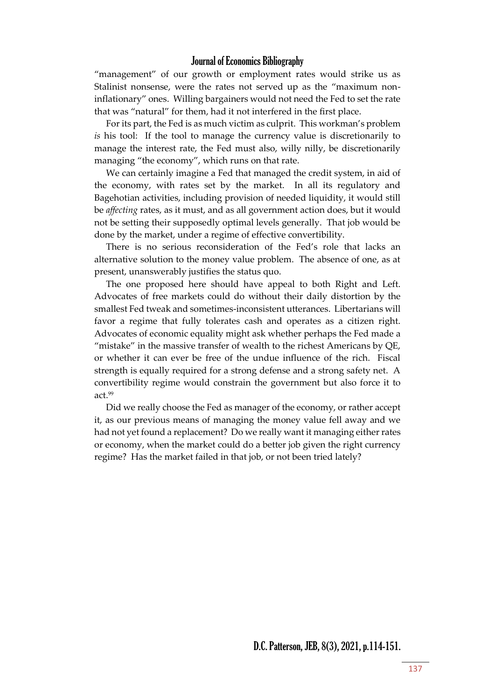"management" of our growth or employment rates would strike us as Stalinist nonsense, were the rates not served up as the "maximum noninflationary" ones. Willing bargainers would not need the Fed to set the rate that was "natural" for them, had it not interfered in the first place.

For its part, the Fed is as much victim as culprit. This workman's problem *is* his tool: If the tool to manage the currency value is discretionarily to manage the interest rate, the Fed must also, willy nilly, be discretionarily managing "the economy", which runs on that rate.

We can certainly imagine a Fed that managed the credit system, in aid of the economy, with rates set by the market. In all its regulatory and Bagehotian activities, including provision of needed liquidity, it would still be *affecting* rates, as it must, and as all government action does, but it would not be setting their supposedly optimal levels generally. That job would be done by the market, under a regime of effective convertibility.

There is no serious reconsideration of the Fed's role that lacks an alternative solution to the money value problem. The absence of one, as at present, unanswerably justifies the status quo.

The one proposed here should have appeal to both Right and Left. Advocates of free markets could do without their daily distortion by the smallest Fed tweak and sometimes-inconsistent utterances. Libertarians will favor a regime that fully tolerates cash and operates as a citizen right. Advocates of economic equality might ask whether perhaps the Fed made a "mistake" in the massive transfer of wealth to the richest Americans by QE, or whether it can ever be free of the undue influence of the rich. Fiscal strength is equally required for a strong defense and a strong safety net. A convertibility regime would constrain the government but also force it to act.<sup>99</sup>

Did we really choose the Fed as manager of the economy, or rather accept it, as our previous means of managing the money value fell away and we had not yet found a replacement? Do we really want it managing either rates or economy, when the market could do a better job given the right currency regime? Has the market failed in that job, or not been tried lately?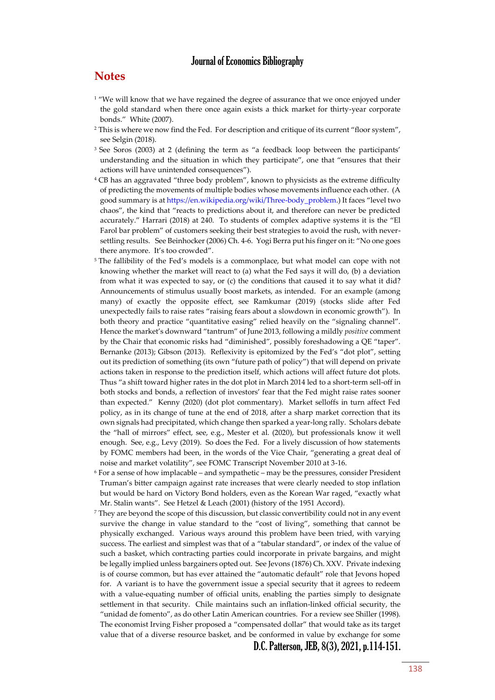#### **Notes**

- <sup>1</sup> "We will know that we have regained the degree of assurance that we once enjoyed under the gold standard when there once again exists a thick market for thirty-year corporate bonds." White (2007).
- <sup>2</sup> This is where we now find the Fed. For description and critique of its current "floor system", see Selgin (2018).
- $3$  See Soros (2003) at 2 (defining the term as "a feedback loop between the participants' understanding and the situation in which they participate", one that "ensures that their actions will have unintended consequences").
- <sup>4</sup> CB has an aggravated "three body problem", known to physicists as the extreme difficulty of predicting the movements of multiple bodies whose movements influence each other. (A good summary is a[t https://en.wikipedia.org/wiki/Three-body\\_problem](https://en.wikipedia.org/wiki/Three-body_problem).) It faces "level two chaos", the kind that "reacts to predictions about it, and therefore can never be predicted accurately." Harrari (2018) at 240. To students of complex adaptive systems it is the "El Farol bar problem" of customers seeking their best strategies to avoid the rush, with neversettling results. See Beinhocker (2006) Ch. 4-6. Yogi Berra put his finger on it: "No one goes there anymore. It's too crowded".
- <sup>5</sup> The fallibility of the Fed's models is a commonplace, but what model can cope with not knowing whether the market will react to (a) what the Fed says it will do, (b) a deviation from what it was expected to say, or (c) the conditions that caused it to say what it did? Announcements of stimulus usually boost markets, as intended. For an example (among many) of exactly the opposite effect, see Ramkumar (2019) (stocks slide after Fed unexpectedly fails to raise rates "raising fears about a slowdown in economic growth"). In both theory and practice "quantitative easing" relied heavily on the "signaling channel". Hence the market's downward "tantrum" of June 2013, following a mildly *positive* comment by the Chair that economic risks had "diminished", possibly foreshadowing a QE "taper". Bernanke (2013); Gibson (2013). Reflexivity is epitomized by the Fed's "dot plot", setting out its prediction of something (its own "future path of policy") that will depend on private actions taken in response to the prediction itself, which actions will affect future dot plots. Thus "a shift toward higher rates in the dot plot in March 2014 led to a short-term sell-off in both stocks and bonds, a reflection of investors' fear that the Fed might raise rates sooner than expected." Kenny (2020) (dot plot commentary). Market selloffs in turn affect Fed policy, as in its change of tune at the end of 2018, after a sharp market correction that its own signals had precipitated, which change then sparked a year-long rally. Scholars debate the "hall of mirrors" effect, see, e.g., Mester et al. (2020), but professionals know it well enough. See, e.g., Levy (2019). So does the Fed. For a lively discussion of how statements by FOMC members had been, in the words of the Vice Chair, "generating a great deal of noise and market volatility", see FOMC Transcript November 2010 at 3-16.
- <sup>6</sup> For a sense of how implacable and sympathetic may be the pressures, consider President Truman's bitter campaign against rate increases that were clearly needed to stop inflation but would be hard on Victory Bond holders, even as the Korean War raged, "exactly what Mr. Stalin wants". See Hetzel & Leach (2001) (history of the 1951 Accord).
- <sup>7</sup> They are beyond the scope of this discussion, but classic convertibility could not in any event survive the change in value standard to the "cost of living", something that cannot be physically exchanged. Various ways around this problem have been tried, with varying success. The earliest and simplest was that of a "tabular standard", or index of the value of such a basket, which contracting parties could incorporate in private bargains, and might be legally implied unless bargainers opted out. See Jevons (1876) Ch. XXV. Private indexing is of course common, but has ever attained the "automatic default" role that Jevons hoped for. A variant is to have the government issue a special security that it agrees to redeem with a value-equating number of official units, enabling the parties simply to designate settlement in that security. Chile maintains such an inflation-linked official security, the "unidad de fomento", as do other Latin American countries. For a review see Shiller (1998). The economist Irving Fisher proposed a "compensated dollar" that would take as its target value that of a diverse resource basket, and be conformed in value by exchange for some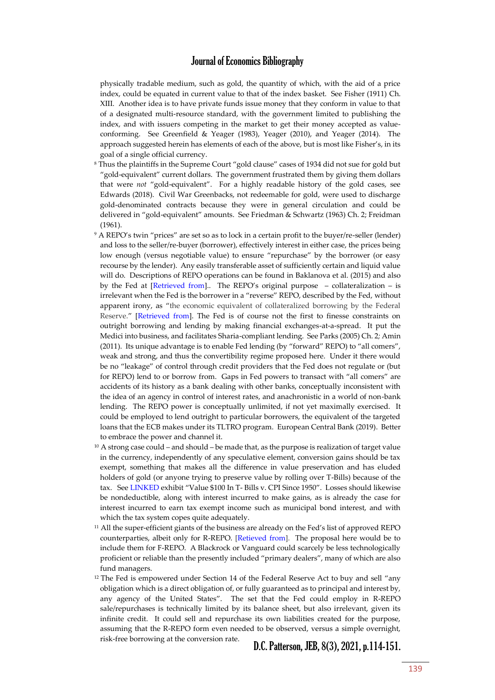physically tradable medium, such as gold, the quantity of which, with the aid of a price index, could be equated in current value to that of the index basket. See Fisher (1911) Ch. XIII. Another idea is to have private funds issue money that they conform in value to that of a designated multi-resource standard, with the government limited to publishing the index, and with issuers competing in the market to get their money accepted as valueconforming. See Greenfield & Yeager (1983), Yeager (2010), and Yeager (2014). The approach suggested herein has elements of each of the above, but is most like Fisher's, in its goal of a single official currency.

- <sup>8</sup> Thus the plaintiffs in the Supreme Court "gold clause" cases of 1934 did not sue for gold but "gold-equivalent" current dollars. The government frustrated them by giving them dollars that were *not* "gold-equivalent". For a highly readable history of the gold cases, see Edwards (2018). Civil War Greenbacks, not redeemable for gold, were used to discharge gold-denominated contracts because they were in general circulation and could be delivered in "gold-equivalent" amounts. See Friedman & Schwartz (1963) Ch. 2; Freidman (1961).
- <sup>9</sup> A REPO's twin "prices" are set so as to lock in a certain profit to the buyer/re-seller (lender) and loss to the seller/re-buyer (borrower), effectively interest in either case, the prices being low enough (versus negotiable value) to ensure "repurchase" by the borrower (or easy recourse by the lender). Any easily transferable asset of sufficiently certain and liquid value will do. Descriptions of REPO operations can be found in Baklanova et al. (2015) and also by the Fed at [\[Retrieved from\]](https://www.federalreserve.gov/monetarypolicy/bst_openmarketops.htm).. The REPO's original purpose – collateralization – is irrelevant when the Fed is the borrower in a "reverse" REPO, described by the Fed, without apparent irony, as "the economic equivalent of collateralized borrowing by the Federal Reserve." [\[Retrieved from\]](https://www.federalreserve.gov/monetarypolicy/bst_openmarketops.htm). The Fed is of course not the first to finesse constraints on outright borrowing and lending by making financial exchanges-at-a-spread. It put the Medici into business, and facilitates Sharia-compliant lending. See Parks (2005) Ch. 2*;* Amin (2011). Its unique advantage is to enable Fed lending (by "forward" REPO) to "all comers", weak and strong, and thus the convertibility regime proposed here. Under it there would be no "leakage" of control through credit providers that the Fed does not regulate or (but for REPO) lend to or borrow from. Gaps in Fed powers to transact with "all comers" are accidents of its history as a bank dealing with other banks, conceptually inconsistent with the idea of an agency in control of interest rates, and anachronistic in a world of non-bank lending. The REPO power is conceptually unlimited, if not yet maximally exercised. It could be employed to lend outright to particular borrowers, the equivalent of the targeted loans that the ECB makes under its TLTRO program. European Central Bank (2019). Better to embrace the power and channel it.
- $10$  A strong case could and should be made that, as the purpose is realization of target value in the currency, independently of any speculative element, conversion gains should be tax exempt, something that makes all the difference in value preservation and has eluded holders of gold (or anyone trying to preserve value by rolling over T-Bills) because of the tax. Se[e LINKED](https://brandytrust.sharefile.com/d-sa84e2a551bdf4c1f820025436b8c13d9) exhibit "Value \$100 In T- Bills v. CPI Since 1950". Losses should likewise be nondeductible, along with interest incurred to make gains, as is already the case for interest incurred to earn tax exempt income such as municipal bond interest, and with which the tax system copes quite adequately.
- <sup>11</sup> All the super-efficient giants of the business are already on the Fed's list of approved REPO counterparties, albeit only for R-REPO. [\[Retieved from\]](http://www.newyorkfed.org/markets/rrp_counterparties.html). The proposal here would be to include them for F-REPO. A Blackrock or Vanguard could scarcely be less technologically proficient or reliable than the presently included "primary dealers", many of which are also fund managers.
- $12$  The Fed is empowered under Section 14 of the Federal Reserve Act to buy and sell "any obligation which is a direct obligation of, or fully guaranteed as to principal and interest by, any agency of the United States". The set that the Fed could employ in R-REPO sale/repurchases is technically limited by its balance sheet, but also irrelevant, given its infinite credit. It could sell and repurchase its own liabilities created for the purpose, assuming that the R-REPO form even needed to be observed, versus a simple overnight, risk-free borrowing at the conversion rate.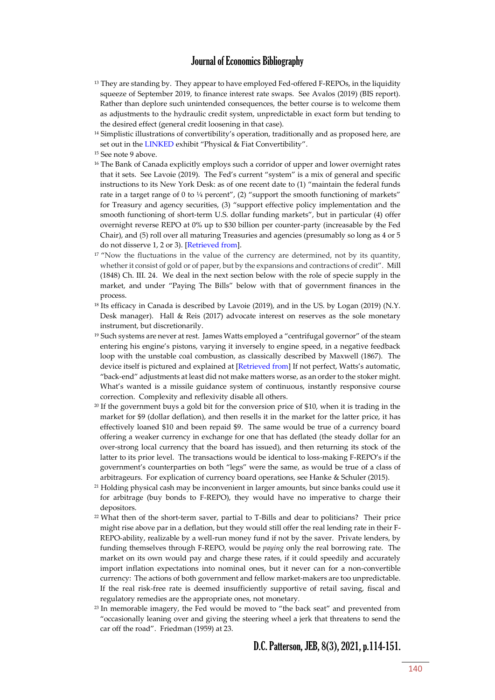- <sup>13</sup> They are standing by. They appear to have employed Fed-offered F-REPOs, in the liquidity squeeze of September 2019, to finance interest rate swaps. See Avalos (2019) (BIS report). Rather than deplore such unintended consequences, the better course is to welcome them as adjustments to the hydraulic credit system, unpredictable in exact form but tending to the desired effect (general credit loosening in that case).
- <sup>14</sup> Simplistic illustrations of convertibility's operation, traditionally and as proposed here, are set out in the [LINKED](https://brandytrust.sharefile.com/d-sa84e2a551bdf4c1f820025436b8c13d9) exhibit "Physical & Fiat Convertibility".
- <sup>15</sup> See note 9 above.
- <sup>16</sup> The Bank of Canada explicitly employs such a corridor of upper and lower overnight rates that it sets. See Lavoie (2019). The Fed's current "system" is a mix of general and specific instructions to its New York Desk: as of one recent date to (1) "maintain the federal funds rate in a target range of 0 to  $\frac{1}{4}$  percent", (2) "support the smooth functioning of markets" for Treasury and agency securities, (3) "support effective policy implementation and the smooth functioning of short-term U.S. dollar funding markets", but in particular (4) offer overnight reverse REPO at 0% up to \$30 billion per counter-party (increasable by the Fed Chair), and (5) roll over all maturing Treasuries and agencies (presumably so long as 4 or 5 do not disserve 1, 2 or 3). [\[Retrieved from\]](https://www.federalreserve.gov/monetarypolicy/files/fomcminutes20200429.pdf).
- <sup>17</sup> "Now the fluctuations in the value of the currency are determined, not by its quantity, whether it consist of gold or of paper, but by the expansions and contractions of credit". Mill (1848) Ch. III. 24. We deal in the next section below with the role of specie supply in the market, and under "Paying The Bills" below with that of government finances in the process.
- <sup>18</sup> Its efficacy in Canada is described by Lavoie (2019), and in the US. by Logan (2019) (N.Y. Desk manager). Hall & Reis (2017) advocate interest on reserves as the sole monetary instrument, but discretionarily.
- <sup>19</sup> Such systems are never at rest. James Watts employed a "centrifugal governor" of the steam entering his engine's pistons, varying it inversely to engine speed, in a negative feedback loop with the unstable coal combustion, as classically described by Maxwell (1867). The device itself is pictured and explained at [\[Retrieved from\]](http://mi.eng.cam.ac.uk/IALego/steam.html) If not perfect, Watts's automatic, "back-end" adjustments at least did not make matters worse, as an order to the stoker might. What's wanted is a missile guidance system of continuous, instantly responsive course correction. Complexity and reflexivity disable all others.
- <sup>20</sup> If the government buys a gold bit for the conversion price of \$10, when it is trading in the market for \$9 (dollar deflation), and then resells it in the market for the latter price, it has effectively loaned \$10 and been repaid \$9. The same would be true of a currency board offering a weaker currency in exchange for one that has deflated (the steady dollar for an over-strong local currency that the board has issued), and then returning its stock of the latter to its prior level. The transactions would be identical to loss-making F-REPO's if the government's counterparties on both "legs" were the same, as would be true of a class of arbitrageurs. For explication of currency board operations, see Hanke & Schuler (2015).
- <sup>21</sup> Holding physical cash may be inconvenient in larger amounts, but since banks could use it for arbitrage (buy bonds to F-REPO), they would have no imperative to charge their depositors.
- <sup>22</sup> What then of the short-term saver, partial to T-Bills and dear to politicians? Their price might rise above par in a deflation, but they would still offer the real lending rate in their F-REPO-ability, realizable by a well-run money fund if not by the saver. Private lenders, by funding themselves through F-REPO, would be *paying* only the real borrowing rate. The market on its own would pay and charge these rates, if it could speedily and accurately import inflation expectations into nominal ones, but it never can for a non-convertible currency: The actions of both government and fellow market-makers are too unpredictable. If the real risk-free rate is deemed insufficiently supportive of retail saving, fiscal and regulatory remedies are the appropriate ones, not monetary.
- $23$  In memorable imagery, the Fed would be moved to "the back seat" and prevented from "occasionally leaning over and giving the steering wheel a jerk that threatens to send the car off the road". Friedman (1959) at 23.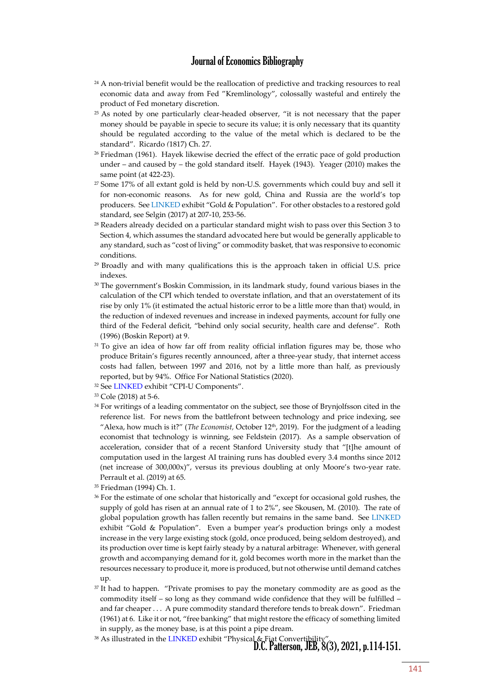- $24$  A non-trivial benefit would be the reallocation of predictive and tracking resources to real economic data and away from Fed "Kremlinology", colossally wasteful and entirely the product of Fed monetary discretion.
- <sup>25</sup> As noted by one particularly clear-headed observer, "it is not necessary that the paper money should be payable in specie to secure its value; it is only necessary that its quantity should be regulated according to the value of the metal which is declared to be the standard". Ricardo *(*1817) Ch. 27.
- <sup>26</sup> Friedman (1961). Hayek likewise decried the effect of the erratic pace of gold production under – and caused by – the gold standard itself. Hayek (1943). Yeager (2010) makes the same point (at 422-23).
- <sup>27</sup> Some 17% of all extant gold is held by non-U.S. governments which could buy and sell it for non-economic reasons. As for new gold, China and Russia are the world's top producers. Se[e LINKED](https://brandytrust.sharefile.com/d-sa84e2a551bdf4c1f820025436b8c13d9) exhibit "Gold & Population". For other obstacles to a restored gold standard, see Selgin (2017) at 207-10, 253-56.
- <sup>28</sup> Readers already decided on a particular standard might wish to pass over this Section 3 to Section 4, which assumes the standard advocated here but would be generally applicable to any standard, such as "cost of living" or commodity basket, that was responsive to economic conditions.
- <sup>29</sup> Broadly and with many qualifications this is the approach taken in official U.S. price indexes.
- <sup>30</sup> The government's Boskin Commission, in its landmark study, found various biases in the calculation of the CPI which tended to overstate inflation, and that an overstatement of its rise by only 1% (it estimated the actual historic error to be a little more than that) would, in the reduction of indexed revenues and increase in indexed payments, account for fully one third of the Federal deficit, "behind only social security, health care and defense". Roth (1996) (Boskin Report) at 9.
- <sup>31</sup> To give an idea of how far off from reality official inflation figures may be, those who produce Britain's figures recently announced, after a three-year study, that internet access costs had fallen, between 1997 and 2016, not by a little more than half, as previously reported, but by 94%. Office For National Statistics (2020).
- <sup>32</sup> Se[e LINKED](https://brandytrust.sharefile.com/d-sa84e2a551bdf4c1f820025436b8c13d9) exhibit "CPI-U Components".
- <sup>33</sup> Cole (2018) at 5-6.
- <sup>34</sup> For writings of a leading commentator on the subject, see those of Brynjolfsson cited in the reference list. For news from the battlefront between technology and price indexing, see "Alexa, how much is it?" (*The Economist*, October 12<sup>th</sup>, 2019). For the judgment of a leading economist that technology is winning, see Feldstein (2017). As a sample observation of acceleration, consider that of a recent Stanford University study that "[t]he amount of computation used in the largest AI training runs has doubled every 3.4 months since 2012 (net increase of 300,000x)", versus its previous doubling at only Moore's two-year rate. Perrault et al. (2019) at 65.
- <sup>35</sup> Friedman (1994) Ch. 1.
- <sup>36</sup> For the estimate of one scholar that historically and "except for occasional gold rushes, the supply of gold has risen at an annual rate of 1 to 2%", see Skousen, M. (2010). The rate of global population growth has fallen recently but remains in the same band. See [LINKED](https://brandytrust.sharefile.com/d-sa84e2a551bdf4c1f820025436b8c13d9) exhibit "Gold & Population". Even a bumper year's production brings only a modest increase in the very large existing stock (gold, once produced, being seldom destroyed), and its production over time is kept fairly steady by a natural arbitrage: Whenever, with general growth and accompanying demand for it, gold becomes worth more in the market than the resources necessary to produce it, more is produced, but not otherwise until demand catches up.
- <sup>37</sup> It had to happen. "Private promises to pay the monetary commodity are as good as the commodity itself – so long as they command wide confidence that they will be fulfilled – and far cheaper . . . A pure commodity standard therefore tends to break down". Friedman (1961) at 6. Like it or not, "free banking" that might restore the efficacy of something limited in supply, as the money base, is at this point a pipe dream.
- <sup>38</sup> As illustrated in the [LINKED](https://brandytrust.sharefile.com/d-sa84e2a551bdf4c1f820025436b8c13d9) exhibit "Physical & Fiat Convertibility".<br>**D.C. Patterson, JEB, 8(3), 2021, p.114-151**.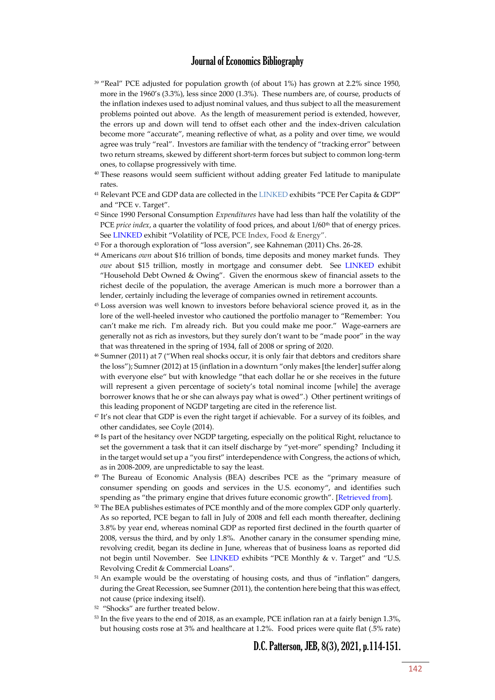- <sup>39</sup> "Real" PCE adjusted for population growth (of about 1%) has grown at 2.2% since 1950, more in the 1960's (3.3%), less since 2000 (1.3%). These numbers are, of course, products of the inflation indexes used to adjust nominal values, and thus subject to all the measurement problems pointed out above. As the length of measurement period is extended, however, the errors up and down will tend to offset each other and the index-driven calculation become more "accurate", meaning reflective of what, as a polity and over time, we would agree was truly "real". Investors are familiar with the tendency of "tracking error" between two return streams, skewed by different short-term forces but subject to common long-term ones, to collapse progressively with time.
- <sup>40</sup> These reasons would seem sufficient without adding greater Fed latitude to manipulate rates.
- <sup>41</sup> Relevant PCE and GDP data are collected in th[e LINKED](https://brandytrust.sharefile.com/d-sa84e2a551bdf4c1f820025436b8c13d9) exhibits "PCE Per Capita & GDP" and "PCE v. Target".
- <sup>42</sup> Since 1990 Personal Consumption *Expenditures* have had less than half the volatility of the PCE *price index*, a quarter the volatility of food prices, and about 1/60<sup>th</sup> that of energy prices. See [LINKED](https://brandytrust.sharefile.com/d-sa84e2a551bdf4c1f820025436b8c13d9) exhibit "Volatility of PCE, PCE Index, Food & Energy".
- <sup>43</sup> For a thorough exploration of "loss aversion", see Kahneman (2011) Chs. 26-28.
- <sup>44</sup> Americans *own* about \$16 trillion of bonds, time deposits and money market funds. They *owe* about \$15 trillion, mostly in mortgage and consumer debt. See [LINKED](https://brandytrust.sharefile.com/d-sa84e2a551bdf4c1f820025436b8c13d9) exhibit "Household Debt Owned & Owing". Given the enormous skew of financial assets to the richest decile of the population, the average American is much more a borrower than a lender, certainly including the leverage of companies owned in retirement accounts.
- <sup>45</sup> Loss aversion was well known to investors before behavioral science proved it, as in the lore of the well-heeled investor who cautioned the portfolio manager to "Remember: You can't make me rich. I'm already rich. But you could make me poor." Wage-earners are generally not as rich as investors, but they surely don't want to be "made poor" in the way that was threatened in the spring of 1934, fall of 2008 or spring of 2020.
- <sup>46</sup> Sumner (2011) at 7 ("When real shocks occur, it is only fair that debtors and creditors share the loss"); Sumner (2012) at 15 (inflation in a downturn "only makes [the lender] suffer along with everyone else" but with knowledge "that each dollar he or she receives in the future will represent a given percentage of society's total nominal income [while] the average borrower knows that he or she can always pay what is owed".) Other pertinent writings of this leading proponent of NGDP targeting are cited in the reference list.
- <sup>47</sup> It's not clear that GDP is even the right target if achievable. For a survey of its foibles, and other candidates, see Coyle (2014).
- <sup>48</sup> Is part of the hesitancy over NGDP targeting, especially on the political Right, reluctance to set the government a task that it can itself discharge by "yet-more" spending? Including it in the target would set up a "you first" interdependence with Congress, the actions of which, as in 2008-2009, are unpredictable to say the least.
- <sup>49</sup> The Bureau of Economic Analysis (BEA) describes PCE as the "primary measure of consumer spending on goods and services in the U.S. economy", and identifies such spending as "the primary engine that drives future economic growth". [\[Retrieved from\]](https://www.bea.gov/system/files/2019-12/Chapter-5.pdf).
- <sup>50</sup> The BEA publishes estimates of PCE monthly and of the more complex GDP only quarterly. As so reported, PCE began to fall in July of 2008 and fell each month thereafter, declining 3.8% by year end, whereas nominal GDP as reported first declined in the fourth quarter of 2008, versus the third, and by only 1.8%. Another canary in the consumer spending mine, revolving credit, began its decline in June, whereas that of business loans as reported did not begin until November. See [LINKED](https://brandytrust.sharefile.com/d-sa84e2a551bdf4c1f820025436b8c13d9) exhibits "PCE Monthly & v. Target" and "U.S. Revolving Credit & Commercial Loans".
- <sup>51</sup> An example would be the overstating of housing costs, and thus of "inflation" dangers, during the Great Recession, see Sumner (2011), the contention here being that this was effect, not cause (price indexing itself).
- 52 "Shocks" are further treated below.
- <sup>53</sup> In the five years to the end of 2018, as an example, PCE inflation ran at a fairly benign 1.3%, but housing costs rose at 3% and healthcare at 1.2%. Food prices were quite flat (.5% rate)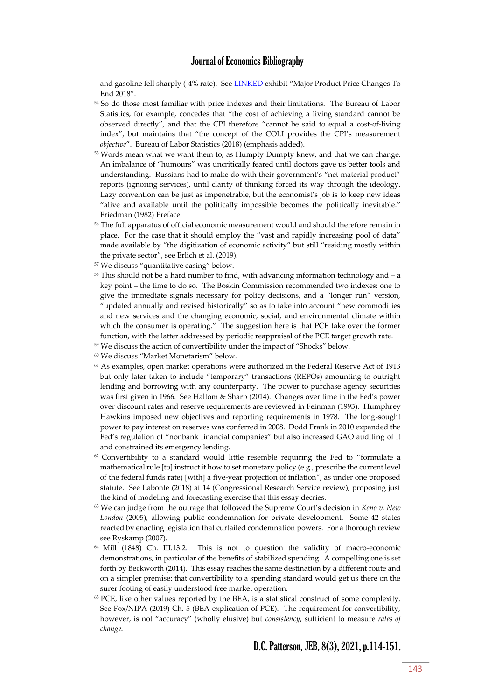and gasoline fell sharply (-4% rate). Se[e LINKED](https://brandytrust.sharefile.com/d-sa84e2a551bdf4c1f820025436b8c13d9) exhibit "Major Product Price Changes To End 2018".

- <sup>54</sup> So do those most familiar with price indexes and their limitations. The Bureau of Labor Statistics, for example, concedes that "the cost of achieving a living standard cannot be observed directly", and that the CPI therefore "cannot be said to equal a cost-of-living index", but maintains that "the concept of the COLI provides the CPI's measurement *objective*". Bureau of Labor Statistics (2018) (emphasis added).
- <sup>55</sup> Words mean what we want them to, as Humpty Dumpty knew, and that we can change. An imbalance of "humours" was uncritically feared until doctors gave us better tools and understanding. Russians had to make do with their government's "net material product" reports (ignoring services), until clarity of thinking forced its way through the ideology. Lazy convention can be just as impenetrable, but the economist's job is to keep new ideas "alive and available until the politically impossible becomes the politically inevitable." Friedman (1982) Preface.
- <sup>56</sup> The full apparatus of official economic measurement would and should therefore remain in place. For the case that it should employ the "vast and rapidly increasing pool of data" made available by "the digitization of economic activity" but still "residing mostly within the private sector", see Erlich et al. (2019).
- <sup>57</sup> We discuss "quantitative easing" below.
- $58$  This should not be a hard number to find, with advancing information technology and  $-$  a key point – the time to do so. The Boskin Commission recommended two indexes: one to give the immediate signals necessary for policy decisions, and a "longer run" version, "updated annually and revised historically" so as to take into account "new commodities and new services and the changing economic, social, and environmental climate within which the consumer is operating." The suggestion here is that PCE take over the former function, with the latter addressed by periodic reappraisal of the PCE target growth rate.
- <sup>59</sup> We discuss the action of convertibility under the impact of "Shocks" below.
- <sup>60</sup> We discuss "Market Monetarism" below.
- <sup>61</sup> As examples, open market operations were authorized in the Federal Reserve Act of 1913 but only later taken to include "temporary" transactions (REPOs) amounting to outright lending and borrowing with any counterparty. The power to purchase agency securities was first given in 1966. See Haltom & Sharp (2014). Changes over time in the Fed's power over discount rates and reserve requirements are reviewed in Feinman (1993). Humphrey Hawkins imposed new objectives and reporting requirements in 1978. The long-sought power to pay interest on reserves was conferred in 2008. Dodd Frank in 2010 expanded the Fed's regulation of "nonbank financial companies" but also increased GAO auditing of it and constrained its emergency lending.
- $62$  Convertibility to a standard would little resemble requiring the Fed to "formulate a mathematical rule [to] instruct it how to set monetary policy (e.g., prescribe the current level of the federal funds rate) [with] a five-year projection of inflation", as under one proposed statute. See Labonte (2018) at 14 (Congressional Research Service review), proposing just the kind of modeling and forecasting exercise that this essay decries.
- <sup>63</sup> We can judge from the outrage that followed the Supreme Court's decision in *Keno v. New London* (2005), allowing public condemnation for private development. Some 42 states reacted by enacting legislation that curtailed condemnation powers. For a thorough review see Ryskamp (2007).
- <sup>64</sup> Mill (1848) Ch. III.13.2. This is not to question the validity of macro-economic demonstrations, in particular of the benefits of stabilized spending. A compelling one is set forth by Beckworth (2014). This essay reaches the same destination by a different route and on a simpler premise: that convertibility to a spending standard would get us there on the surer footing of easily understood free market operation.
- <sup>65</sup> PCE, like other values reported by the BEA, is a statistical construct of some complexity. See Fox/NIPA (2019) Ch. 5 (BEA explication of PCE). The requirement for convertibility, however, is not "accuracy" (wholly elusive) but *consistency*, sufficient to measure *rates of change*.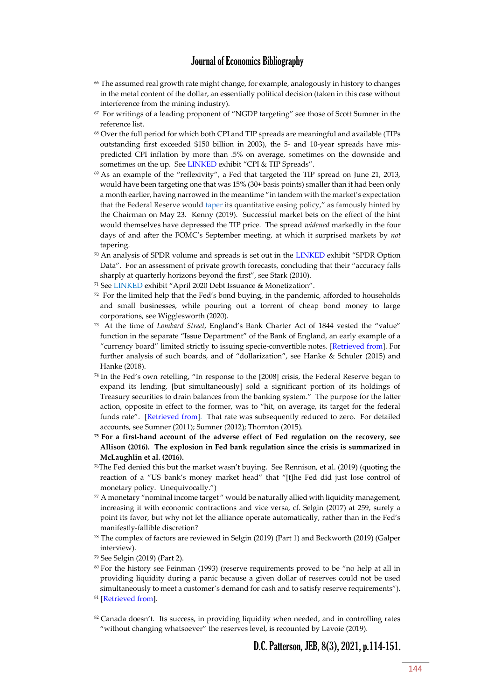- <sup>66</sup> The assumed real growth rate might change, for example, analogously in history to changes in the metal content of the dollar, an essentially political decision (taken in this case without interference from the mining industry).
- 67 For writings of a leading proponent of "NGDP targeting" see those of Scott Sumner in the reference list.
- <sup>68</sup> Over the full period for which both CPI and TIP spreads are meaningful and available (TIPs outstanding first exceeded \$150 billion in 2003), the 5- and 10-year spreads have mispredicted CPI inflation by more than .5% on average, sometimes on the downside and sometimes on the up. Se[e LINKED](https://brandytrust.sharefile.com/d-sa84e2a551bdf4c1f820025436b8c13d9) exhibit "CPI & TIP Spreads".
- $69$  As an example of the "reflexivity", a Fed that targeted the TIP spread on June 21, 2013, would have been targeting one that was 15% (30+ basis points) smaller than it had been only a month earlier, having narrowed in the meantime "in tandem with the market's expectation that the Federal Reserve would [taper](https://www.thebalance.com/fed-tapering-impact-on-markets-416859) its quantitative easing policy," as famously hinted by the Chairman on May 23. Kenny (2019). Successful market bets on the effect of the hint would themselves have depressed the TIP price. The spread *widened* markedly in the four days of and after the FOMC's September meeting, at which it surprised markets by *not* tapering.
- 70 An analysis of SPDR volume and spreads is set out in the [LINKED](https://brandytrust.sharefile.com/d-sa84e2a551bdf4c1f820025436b8c13d9) exhibit "SPDR Option Data". For an assessment of private growth forecasts, concluding that their "accuracy falls sharply at quarterly horizons beyond the first", see Stark (2010).
- <sup>71</sup> Se[e LINKED](https://brandytrust.sharefile.com/d-sa84e2a551bdf4c1f820025436b8c13d9) exhibit "April 2020 Debt Issuance & Monetization".
- $72$  For the limited help that the Fed's bond buying, in the pandemic, afforded to households and small businesses, while pouring out a torrent of cheap bond money to large corporations, see Wigglesworth (2020).
- 73 At the time of *Lombard Street*, England's Bank Charter Act of 1844 vested the "value" function in the separate "Issue Department" of the Bank of England, an early example of a "currency board" limited strictly to issuing specie-convertible notes. [\[Retrieved from\]](https://www.legislation.gov.uk/ukpga/Vict/7-8/32/enacted). For further analysis of such boards, and of "dollarization", see Hanke & Schuler (2015) and Hanke (2018).
- 74 In the Fed's own retelling, "In response to the [2008] crisis, the Federal Reserve began to expand its lending, [but simultaneously] sold a significant portion of its holdings of Treasury securities to drain balances from the banking system." The purpose for the latter action, opposite in effect to the former, was to "hit, on average, its target for the federal funds rate". [\[Retrieved from\]](http://www.federalreserve.gov/monetarypolicy/bst_frliabilities.htm). That rate was subsequently reduced to zero. For detailed accounts, see Sumner (2011); Sumner (2012); Thornton (2015).
- **<sup>75</sup> For a first-hand account of the adverse effect of Fed regulation on the recovery, see Allison (2016). The explosion in Fed bank regulation since the crisis is summarized in McLaughlin et al. (2016).**
- <sup>76</sup>The Fed denied this but the market wasn't buying. See Rennison, et al. (2019) (quoting the reaction of a "US bank's money market head" that "[t]he Fed did just lose control of monetary policy. Unequivocally.")
- $77$  A monetary "nominal income target" would be naturally allied with liquidity management, increasing it with economic contractions and vice versa, cf. Selgin (2017) at 259, surely a point its favor, but why not let the alliance operate automatically, rather than in the Fed's manifestly-fallible discretion?
- <sup>78</sup> The complex of factors are reviewed in Selgin (2019) (Part 1) and Beckworth (2019) (Galper interview).
- <sup>79</sup> See Selgin (2019) (Part 2).
- <sup>80</sup> For the history see Feinman (1993) (reserve requirements proved to be "no help at all in providing liquidity during a panic because a given dollar of reserves could not be used simultaneously to meet a customer's demand for cash and to satisfy reserve requirements").
- <sup>81</sup> [\[Retrieved from\]](https://www.federalreserve.gov/monetarypoliprcy/reqresbalances.htm).
- <sup>82</sup> Canada doesn't. Its success, in providing liquidity when needed, and in controlling rates "without changing whatsoever" the reserves level, is recounted by Lavoie (2019).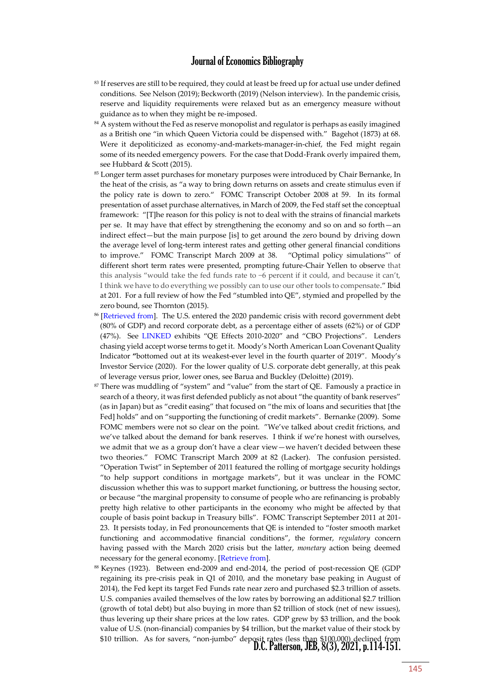- 83 If reserves are still to be required, they could at least be freed up for actual use under defined conditions. See Nelson (2019); Beckworth (2019) (Nelson interview). In the pandemic crisis, reserve and liquidity requirements were relaxed but as an emergency measure without guidance as to when they might be re-imposed.
- <sup>84</sup> A system without the Fed as reserve monopolist and regulator is perhaps as easily imagined as a British one "in which Queen Victoria could be dispensed with." Bagehot (1873) at 68. Were it depoliticized as economy-and-markets-manager-in-chief, the Fed might regain some of its needed emergency powers. For the case that Dodd-Frank overly impaired them, see Hubbard & Scott (2015).
- <sup>85</sup> Longer term asset purchases for monetary purposes were introduced by Chair Bernanke, In the heat of the crisis, as "a way to bring down returns on assets and create stimulus even if the policy rate is down to zero." FOMC Transcript October 2008 at 59. In its formal presentation of asset purchase alternatives, in March of 2009, the Fed staff set the conceptual framework: "[T]he reason for this policy is not to deal with the strains of financial markets per se. It may have that effect by strengthening the economy and so on and so forth—an indirect effect—but the main purpose [is] to get around the zero bound by driving down the average level of long-term interest rates and getting other general financial conditions to improve." FOMC Transcript March 2009 at 38. "Optimal policy simulations"' of different short term rates were presented, prompting future-Chair Yellen to observe that this analysis "would take the fed funds rate to −6 percent if it could, and because it can't, I think we have to do everything we possibly can to use our other tools to compensate." Ibid at 201. For a full review of how the Fed "stumbled into QE", stymied and propelled by the zero bound, see Thornton (2015).
- <sup>86</sup> [\[Retrieved from\]](https://www.federalreserve.gov/newsevents/pressreleases/files/monetary20200615a1.pdf). The U.S. entered the 2020 pandemic crisis with record government debt (80% of GDP) and record corporate debt, as a percentage either of assets (62%) or of GDP (47%). See [LINKED](https://brandytrust.sharefile.com/d-sa84e2a551bdf4c1f820025436b8c13d9) exhibits "QE Effects 2010-2020" and "CBO Projections". Lenders chasing yield accept worse terms to get it. Moody's North American Loan Covenant Quality Indicator **"**bottomed out at its weakest-ever level in the fourth quarter of 2019". Moody's Investor Service (2020). For the lower quality of U.S. corporate debt generally, at this peak of leverage versus prior, lower ones, see Barua and Buckley (Deloitte) (2019).
- <sup>87</sup> There was muddling of "system" and "value" from the start of QE. Famously a practice in search of a theory, it was first defended publicly as not about "the quantity of bank reserves" (as in Japan) but as "credit easing" that focused on "the mix of loans and securities that [the Fed] holds" and on "supporting the functioning of credit markets". Bernanke (2009). Some FOMC members were not so clear on the point. "We've talked about credit frictions, and we've talked about the demand for bank reserves. I think if we're honest with ourselves, we admit that we as a group don't have a clear view—we haven't decided between these two theories." FOMC Transcript March 2009 at 82 (Lacker). The confusion persisted. "Operation Twist" in September of 2011 featured the rolling of mortgage security holdings "to help support conditions in mortgage markets", but it was unclear in the FOMC discussion whether this was to support market functioning, or buttress the housing sector, or because "the marginal propensity to consume of people who are refinancing is probably pretty high relative to other participants in the economy who might be affected by that couple of basis point backup in Treasury bills". FOMC Transcript September 2011 at 201- 23. It persists today, in Fed pronouncements that QE is intended to "foster smooth market functioning and accommodative financial conditions", the former, *regulatory* concern having passed with the March 2020 crisis but the latter, *monetary* action being deemed necessary for the general economy. [\[Retrieve from\]](https://www.federalreserve.gov/monetarypolicy/files/monetary20210317a1.pdf).
- \$10 trillion. As for savers, "non-jumbo" deposit rates (less than \$100,000) declined from<br>D.C. Patterson, JEB, 8(3), 2021, p.114-151. <sup>88</sup> Keynes (1923). Between end-2009 and end-2014, the period of post-recession QE (GDP regaining its pre-crisis peak in Q1 of 2010, and the monetary base peaking in August of 2014), the Fed kept its target Fed Funds rate near zero and purchased \$2.3 trillion of assets. U.S. companies availed themselves of the low rates by borrowing an additional \$2.7 trillion (growth of total debt) but also buying in more than \$2 trillion of stock (net of new issues), thus levering up their share prices at the low rates. GDP grew by \$3 trillion, and the book value of U.S. (non-financial) companies by \$4 trillion, but the market value of their stock by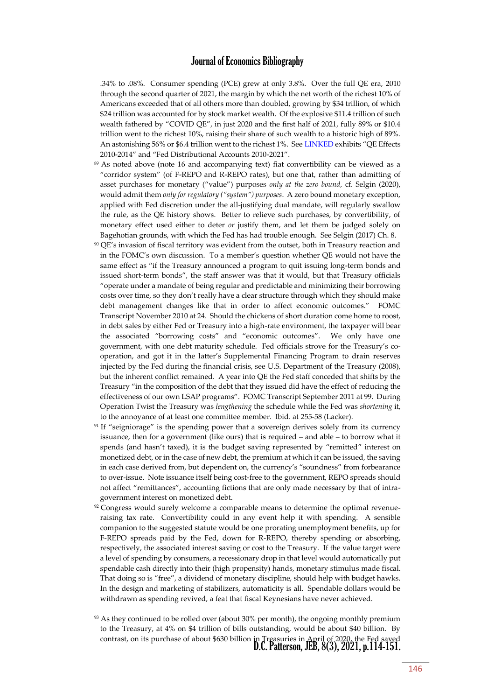.34% to .08%. Consumer spending (PCE) grew at only 3.8%. Over the full QE era, 2010 through the second quarter of 2021, the margin by which the net worth of the richest 10% of Americans exceeded that of all others more than doubled, growing by \$34 trillion, of which \$24 trillion was accounted for by stock market wealth. Of the explosive \$11.4 trillion of such wealth fathered by "COVID QE", in just 2020 and the first half of 2021, fully 89% or \$10.4 trillion went to the richest 10%, raising their share of such wealth to a historic high of 89%. An astonishing 56% or \$6.4 trillion went to the richest 1%. Se[e LINKED](https://brandytrust.sharefile.com/d-sa84e2a551bdf4c1f820025436b8c13d9) exhibits "QE Effects 2010-2014" and "Fed Distributional Accounts 2010-2021".

- <sup>89</sup> As noted above (note 16 and accompanying text) fiat convertibility can be viewed as a "corridor system" (of F-REPO and R-REPO rates), but one that, rather than admitting of asset purchases for monetary ("value") purposes *only at the zero bound*, cf. Selgin (2020), would admit them *only for regulatory ("system") purposes*. A zero bound monetary exception, applied with Fed discretion under the all-justifying dual mandate, will regularly swallow the rule, as the QE history shows. Better to relieve such purchases, by convertibility, of monetary effect used either to deter *or* justify them, and let them be judged solely on Bagehotian grounds, with which the Fed has had trouble enough. See Selgin (2017) Ch. 8.
- <sup>90</sup> QE's invasion of fiscal territory was evident from the outset, both in Treasury reaction and in the FOMC's own discussion. To a member's question whether QE would not have the same effect as "if the Treasury announced a program to quit issuing long-term bonds and issued short-term bonds", the staff answer was that it would, but that Treasury officials "operate under a mandate of being regular and predictable and minimizing their borrowing costs over time, so they don't really have a clear structure through which they should make debt management changes like that in order to affect economic outcomes." FOMC Transcript November 2010 at 24. Should the chickens of short duration come home to roost, in debt sales by either Fed or Treasury into a high-rate environment, the taxpayer will bear the associated "borrowing costs" and "economic outcomes". We only have one government, with one debt maturity schedule. Fed officials strove for the Treasury's cooperation, and got it in the latter's Supplemental Financing Program to drain reserves injected by the Fed during the financial crisis, see U.S. Department of the Treasury (2008), but the inherent conflict remained. A year into QE the Fed staff conceded that shifts by the Treasury "in the composition of the debt that they issued did have the effect of reducing the effectiveness of our own LSAP programs". FOMC Transcript September 2011 at 99. During Operation Twist the Treasury was *lengthening* the schedule while the Fed was *shortening* it, to the annoyance of at least one committee member. Ibid. at 255-58 (Lacker).
- <sup>91</sup> If "seigniorage" is the spending power that a sovereign derives solely from its currency issuance, then for a government (like ours) that is required – and able – to borrow what it spends (and hasn't taxed), it is the budget saving represented by "remitted" interest on monetized debt, or in the case of new debt, the premium at which it can be issued, the saving in each case derived from, but dependent on, the currency's "soundness" from forbearance to over-issue. Note issuance itself being cost-free to the government, REPO spreads should not affect "remittances", accounting fictions that are only made necessary by that of intragovernment interest on monetized debt.
- <sup>92</sup> Congress would surely welcome a comparable means to determine the optimal revenueraising tax rate. Convertibility could in any event help it with spending. A sensible companion to the suggested statute would be one prorating unemployment benefits, up for F-REPO spreads paid by the Fed, down for R-REPO, thereby spending or absorbing, respectively, the associated interest saving or cost to the Treasury. If the value target were a level of spending by consumers, a recessionary drop in that level would automatically put spendable cash directly into their (high propensity) hands, monetary stimulus made fiscal. That doing so is "free", a dividend of monetary discipline, should help with budget hawks. In the design and marketing of stabilizers, automaticity is all. Spendable dollars would be withdrawn as spending revived, a feat that fiscal Keynesians have never achieved.
- contrast, on its purchase of about \$630 billion in Treasuries in April of 2020, the Fed saved<br>D.C. Patterson, JEB, 8(3), 2021, p.114-151. 93 As they continued to be rolled over (about 30% per month), the ongoing monthly premium to the Treasury, at 4% on \$4 trillion of bills outstanding, would be about \$40 billion. By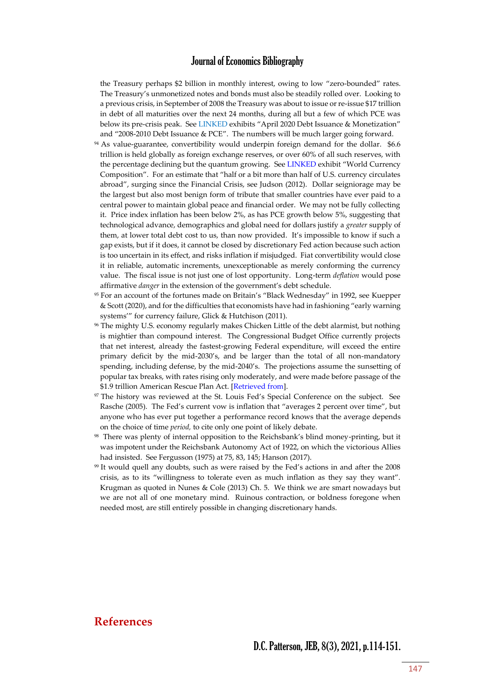the Treasury perhaps \$2 billion in monthly interest, owing to low "zero-bounded" rates. The Treasury's unmonetized notes and bonds must also be steadily rolled over. Looking to a previous crisis, in September of 2008 the Treasury was about to issue or re-issue \$17 trillion in debt of all maturities over the next 24 months, during all but a few of which PCE was below its pre-crisis peak. See [LINKED](https://brandytrust.sharefile.com/d-sa84e2a551bdf4c1f820025436b8c13d9) exhibits "April 2020 Debt Issuance & Monetization" and "2008-2010 Debt Issuance & PCE". The numbers will be much larger going forward.

- <sup>94</sup> As value-guarantee, convertibility would underpin foreign demand for the dollar. \$6.6 trillion is held globally as foreign exchange reserves, or over 60% of all such reserves, with the percentage declining but the quantum growing. Se[e LINKED](https://brandytrust.sharefile.com/d-sa84e2a551bdf4c1f820025436b8c13d9) exhibit "World Currency Composition". For an estimate that "half or a bit more than half of U.S. currency circulates abroad", surging since the Financial Crisis, see Judson (2012). Dollar seigniorage may be the largest but also most benign form of tribute that smaller countries have ever paid to a central power to maintain global peace and financial order. We may not be fully collecting it. Price index inflation has been below 2%, as has PCE growth below 5%, suggesting that technological advance, demographics and global need for dollars justify a *greater* supply of them, at lower total debt cost to us, than now provided. It's impossible to know if such a gap exists, but if it does, it cannot be closed by discretionary Fed action because such action is too uncertain in its effect, and risks inflation if misjudged. Fiat convertibility would close it in reliable, automatic increments, unexceptionable as merely conforming the currency value. The fiscal issue is not just one of lost opportunity. Long-term *deflation* would pose affirmative *danger* in the extension of the government's debt schedule.
- <sup>95</sup> For an account of the fortunes made on Britain's "Black Wednesday" in 1992, see Kuepper & Scott (2020), and for the difficulties that economists have had in fashioning "early warning systems'" for currency failure, Glick & Hutchison (2011).
- <sup>96</sup> The mighty U.S. economy regularly makes Chicken Little of the debt alarmist, but nothing is mightier than compound interest. The Congressional Budget Office currently projects that net interest, already the fastest-growing Federal expenditure, will exceed the entire primary deficit by the mid-2030's, and be larger than the total of all non-mandatory spending, including defense, by the mid-2040's. The projections assume the sunsetting of popular tax breaks, with rates rising only moderately, and were made before passage of the \$1.9 trillion American Rescue Plan Act. [\[Retrieved from\]](https://www.cbo.gov/publication/56977#data).
- <sup>97</sup> The history was reviewed at the St. Louis Fed's Special Conference on the subject. See Rasche (2005). The Fed's current vow is inflation that "averages 2 percent over time", but anyone who has ever put together a performance record knows that the average depends on the choice of time *period,* to cite only one point of likely debate.
- 98 There was plenty of internal opposition to the Reichsbank's blind money-printing, but it was impotent under the Reichsbank Autonomy Act of 1922, on which the victorious Allies had insisted. See Fergusson (1975) at 75, 83, 145; Hanson (2017).
- <sup>99</sup> It would quell any doubts, such as were raised by the Fed's actions in and after the 2008 crisis, as to its "willingness to tolerate even as much inflation as they say they want". Krugman as quoted in Nunes & Cole (2013) Ch. 5. We think we are smart nowadays but we are not all of one monetary mind. Ruinous contraction, or boldness foregone when needed most, are still entirely possible in changing discretionary hands.

#### **References**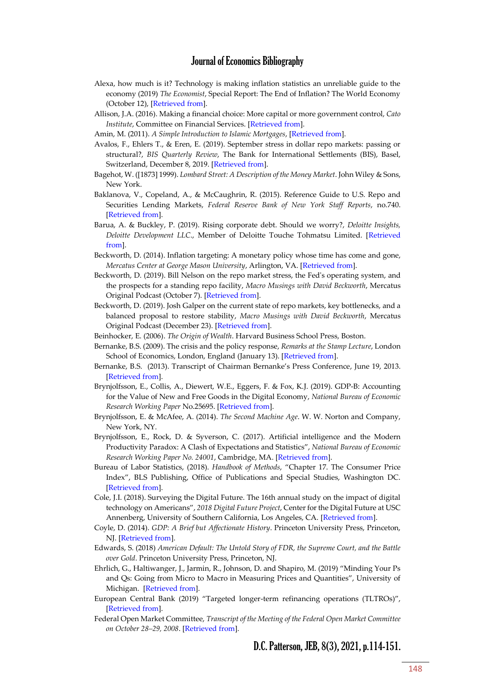- Alexa, how much is it? Technology is making inflation statistics an unreliable guide to the economy (2019) *The Economist*, Special Report: The End of Inflation? The World Economy (October 12), [\[Retrieved from\]](https://www.economist.com/special-report/2019/10/10/technology-is-making-inflation-statistics-an-unreliable-guide-to-the-economy).
- Allison, J.A. (2016). Making a financial choice: More capital or more government control, *Cato Institute*, Committee on Financial Services. [\[Retrieved from\]](https://www.cato.org/publications/testimony/making-financial-choice-more-capital-or-more-government-control).
- Amin, M. (2011). *A Simple Introduction to Islamic Mortgages*, [\[Retrieved from\]](https://www.mohammedamin.com/Islamic_finance/A-simple-introduction-to-Islamic-mortgages.pdf).
- Avalos, F., Ehlers T., & Eren, E. (2019). September stress in dollar repo markets: passing or structural?, *BIS Quarterly Review*, The Bank for International Settlements (BIS), Basel, Switzerland, December 8, 2019. [\[Retrieved from\]](https://www.bis.org/publ/qtrpdf/r_qt1912v.htm).
- Bagehot, W. ([1873] 1999). *Lombard Street: A Description of the Money Market*. John Wiley & Sons, New York.
- Baklanova, V., Copeland, A., & McCaughrin, R. (2015). Reference Guide to U.S. Repo and Securities Lending Markets, *Federal Reserve Bank of New York Staff Reports*, no.740. [\[Retrieved from\]](https://www.newyorkfed.org/medialibrary/media/research/staff_reports/sr740.pdf).
- Barua, A. & Buckley, P. (2019). Rising corporate debt. Should we worry?, *Deloitte Insights, Deloitte Development LLC*., Member of Deloitte Touche Tohmatsu Limited. [\[Retrieved](https://www2.deloitte.com/content/dam/insights/us/articles/5042_ibtn-april-2019/DI_IbtN-April-2019.pdf)  [from\]](https://www2.deloitte.com/content/dam/insights/us/articles/5042_ibtn-april-2019/DI_IbtN-April-2019.pdf).
- Beckworth, D. (2014). Inflation targeting: A monetary policy whose time has come and gone, *Mercatus Center at George Mason University*, Arlington, VA. [\[Retrieved from\]](https://www.mercatus.org/system/files/Beckworth-Inflation-Targeting.pdf).
- Beckworth, D. (2019). Bill Nelson on the repo market stress, the Fed's operating system, and the prospects for a standing repo facility, *Macro Musings with David Beckworth*, Mercatus Original Podcast (October 7). [\[Retrieved from\]](http://macromusings.libsyn.com/bill-nelson-on-the-repo-market-stress-the-feds-operating-system-and-the-prospects-for-a-standing-repo-facility).
- Beckworth, D. (2019). Josh Galper on the current state of repo markets, key bottlenecks, and a balanced proposal to restore stability, *Macro Musings with David Beckworth*, Mercatus Original Podcast (December 23). [\[Retrieved from\]](https://macromusings.libsyn.com/josh-galper-on-the-current-state-of-repo-markets-key-bottlenecks-and-a-balanced-proposal-to-restore-stability).
- Beinhocker, E. (2006). *The Origin of Wealth*. Harvard Business School Press, Boston.
- Bernanke, B.S. (2009). The crisis and the policy response, *Remarks at the Stamp Lecture*, London School of Economics, London, England (January 13). [\[Retrieved from\]](https://www.federalreserve.gov/newsevents/speech/bernanke20090218a.htm).
- Bernanke, B.S. (2013). Transcript of Chairman Bernanke's Press Conference, June 19, 2013. [\[Retrieved from\]](https://www.federalreserve.gov/mediacenter/files/FOMCpresconf20130619.pdf).
- Brynjolfsson, E., Collis, A., Diewert, W.E., Eggers, F. & Fox, K.J. (2019). GDP-B: Accounting for the Value of New and Free Goods in the Digital Economy, *National Bureau of Economic Research Working Paper* No.25695. [\[Retrieved from\]](https://www.gwern.net/docs/economics/2019-brynjolfsson.pdf).
- Brynjolfsson, E. & McAfee, A. (2014). *The Second Machine Age*. W. W. Norton and Company, New York, NY.
- Brynjolfsson, E., Rock, D. & Syverson, C. (2017). Artificial intelligence and the Modern Productivity Paradox: A Clash of Expectations and Statistics", *National Bureau of Economic Research Working Paper No. 24001*, Cambridge, MA. [\[Retrieved from\]](https://www.nber.org/papers/w24001.pdf).
- Bureau of Labor Statistics, (2018). *Handbook of Methods*, "Chapter 17. The Consumer Price Index", BLS Publishing, Office of Publications and Special Studies, Washington DC. [\[Retrieved from\]](https://www.bls.gov/opub/hom/pdf/cpihom.pdf).
- Cole, J.I. (2018). Surveying the Digital Future. The 16th annual study on the impact of digital technology on Americans", *2018 Digital Future Project*, Center for the Digital Future at USC Annenberg, University of Southern California, Los Angeles, CA. [\[Retrieved from\]](https://www.digitalcenter.org/wp-content/uploads/2018/12/2018-Digital-Future-Report.pdf).
- Coyle, D. (2014). *GDP: A Brief but Affectionate History*. Princeton University Press, Princeton, NJ. [\[Retrieved from\]](https://books.google.com/books?id=t7pKCAAAQBAJ&lpg=PP1&pg=PP1#v=onepage&q&f=false).
- Edwards, S. (2018) *American Default: The Untold Story of FDR, the Supreme Court, and the Battle over Gold*. Princeton University Press, Princeton, NJ.
- Ehrlich, G., Haltiwanger, J., Jarmin, R., Johnson, D. and Shapiro, M. (2019) "Minding Your Ps and Qs: Going from Micro to Macro in Measuring Prices and Quantities", University of Michigan. [\[Retrieved from\]](http://www-personal.umich.edu/~shapiro/papers/ReengineeringIndicators-MindingP&Q.pdf).
- European Central Bank (2019) "Targeted longer-term refinancing operations (TLTROs)", [\[Retrieved from\]](https://www.ecb.europa.eu/mopo/implement/omo/tltro/html/index.en.html).
- Federal Open Market Committee, *Transcript of the Meeting of the Federal Open Market Committee on October 28–29, 2008*. [\[Retrieved from\]](https://www.federalreserve.gov/monetarypolicy/files/FOMC20081029meeting.pdf).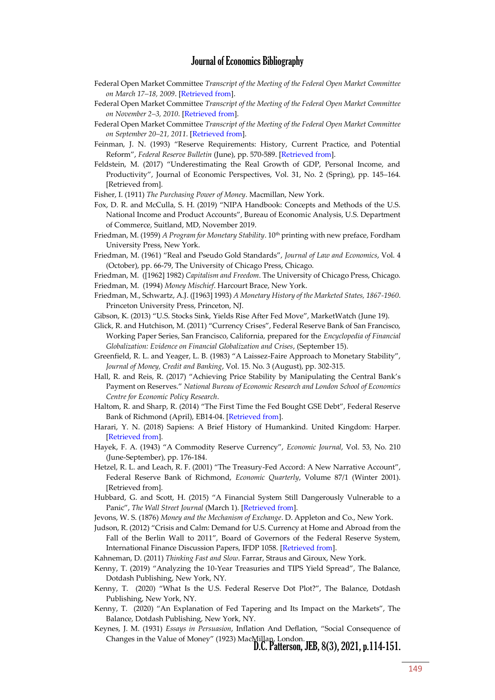- Federal Open Market Committee *Transcript of the Meeting of the Federal Open Market Committee on March 17–18, 2009*. [\[Retrieved from\]](https://www.federalreserve.gov/monetarypolicy/files/FOMC20090318meeting.pdf).
- Federal Open Market Committee *Transcript of the Meeting of the Federal Open Market Committee on November 2–3, 2010*. [\[Retrieved from\]](https://www.federalreserve.gov/monetarypolicy/files/FOMC20101103meeting.pdf).
- Federal Open Market Committee *Transcript of the Meeting of the Federal Open Market Committee on September 20–21, 2011*. [\[Retrieved from\]](https://www.federalreserve.gov/monetarypolicy/files/FOMC20110921meeting.pdf).
- Feinman, J. N. (1993) "Reserve Requirements: History, Current Practice, and Potential Reform", *Federal Reserve Bulletin* (June), pp. 570-589. [\[Retrieved from\]](https://www.federalreserve.gov/monetarypolicy/0693lead.pdf).
- Feldstein, M. (2017) "Underestimating the Real Growth of GDP, Personal Income, and Productivity", Journal of Economic Perspectives, Vol. 31, No. 2 (Spring), pp. 145–164. [Retrieved from].
- Fisher, I. (1911) *The Purchasing Power of Money*. Macmillan, New York.
- Fox, D. R. and McCulla, S. H. (2019) "NIPA Handbook: Concepts and Methods of the U.S. National Income and Product Accounts", Bureau of Economic Analysis, U.S. Department of Commerce, Suitland, MD, November 2019.
- Friedman, M. (1959) *A Program for Monetary Stability*. 10<sup>th</sup> printing with new preface, Fordham University Press, New York.
- Friedman, M. (1961) "Real and Pseudo Gold Standards", *Journal of Law and Economics*, Vol. 4 (October), pp. 66-79, The University of Chicago Press, Chicago.
- Friedman, M. ([1962] 1982) *Capitalism and Freedom*. The University of Chicago Press, Chicago.
- Friedman, M. (1994) *Money Mischief*. Harcourt Brace, New York.
- Friedman, M., Schwartz, A.J. ([1963] 1993) *A Monetary History of the Marketed States, 1867-1960*. Princeton University Press, Princeton, NJ.

Gibson, K. (2013) "U.S. Stocks Sink, Yields Rise After Fed Move", MarketWatch (June 19).

- Glick, R. and Hutchison, M. (2011) "Currency Crises", Federal Reserve Bank of San Francisco, Working Paper Series, San Francisco, California, prepared for the *Encyclopedia of Financial Globalization: Evidence on Financial Globalization and Crises*, (September 15).
- Greenfield, R. L. and Yeager, L. B. (1983) "A Laissez-Faire Approach to Monetary Stability", *Journal of Money, Credit and Banking*, Vol. 15. No. 3 (August), pp. 302-315.
- Hall, R. and Reis, R. (2017) "Achieving Price Stability by Manipulating the Central Bank's Payment on Reserves." *National Bureau of Economic Research and London School of Economics Centre for Economic Policy Research*.
- Haltom, R. and Sharp, R. (2014) "The First Time the Fed Bought GSE Debt", Federal Reserve Bank of Richmond (April), EB14-04. [\[Retrieved from\]](https://www.richmondfed.org/-/media/richmondfedorg/publications/research/economic_brief/2014/pdf/eb_14-04.pdf).
- Harari, Y. N. (2018) Sapiens: A Brief History of Humankind. United Kingdom: Harper. [\[Retrieved from\]](https://www.google.com/books/edition/Sapiens/FmyBAwAAQBAJ?hl=en&gbpv=0).
- Hayek, F. A. (1943) "A Commodity Reserve Currency", *Economic Journal*, Vol. 53, No. 210 (June-September), pp. 176-184.
- Hetzel, R. L. and Leach, R. F. (2001) "The Treasury-Fed Accord: A New Narrative Account", Federal Reserve Bank of Richmond, *Economic Quarterly*, Volume 87/1 (Winter 2001). [Retrieved from].
- Hubbard, G. and Scott, H. (2015) "A Financial System Still Dangerously Vulnerable to a Panic", *The Wall Street Journal* (March 1). [\[Retrieved from\]](http://www.wsj.com/articles/glenn-hubbard-and-hal-scott-a-financial-system-still-dangerously-vulnerable-to-a-panic-1425249064).
- Jevons, W. S. (1876) *Money and the Mechanism of Exchange*. D. Appleton and Co., New York.
- Judson, R. (2012) "Crisis and Calm: Demand for U.S. Currency at Home and Abroad from the Fall of the Berlin Wall to 2011", Board of Governors of the Federal Reserve System, International Finance Discussion Papers, IFDP 1058. [\[Retrieved from\]](http://www.federalreserve.gov/pubs/ifdp/2012/1058/ifdp1058.pdf).
- Kahneman, D. (2011) *Thinking Fast and Slow*. Farrar, Straus and Giroux, New York.
- Kenny, T. (2019) "Analyzing the 10-Year Treasuries and TIPS Yield Spread", The Balance, Dotdash Publishing, New York, NY.
- Kenny, T. (2020) "What Is the U.S. Federal Reserve Dot Plot?", The Balance, Dotdash Publishing, New York, NY.
- Kenny, T. (2020) "An Explanation of Fed Tapering and Its Impact on the Markets", The Balance, Dotdash Publishing, New York, NY.
- Changes in the Value of Money" (1923) MacMillan, London.<br>D.C. Patterson, JEB, 8(3), 2021, p.114-151. Keynes, J. M. (1931) *Essays in Persuasion*, Inflation And Deflation, "Social Consequence of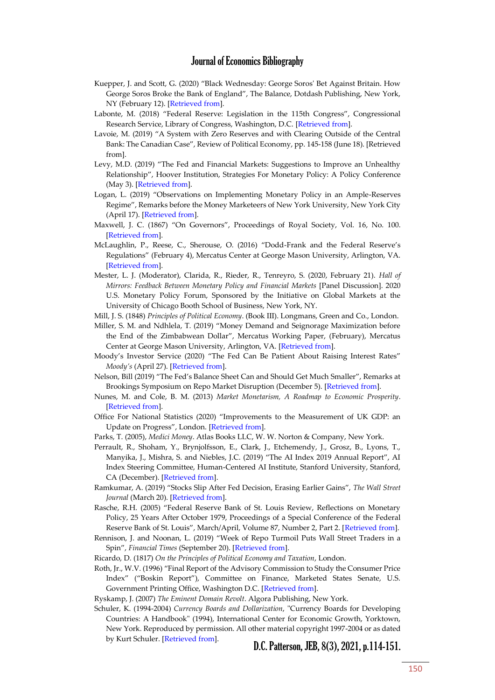- Kuepper, J. and Scott, G. (2020) "Black Wednesday: George Soros' Bet Against Britain. How George Soros Broke the Bank of England", The Balance, Dotdash Publishing, New York, NY (February 12). [\[Retrieved from\]](https://www.thebalance.com/black-wednesday-george-soros-bet-against-britain-1978944).
- Labonte, M. (2018) "Federal Reserve: Legislation in the 115th Congress", Congressional Research Service, Library of Congress, Washington, D.C. [\[Retrieved from\]](https://fas.org/sgp/crs/misc/R44848.pdf).
- Lavoie, M. (2019) "A System with Zero Reserves and with Clearing Outside of the Central Bank: The Canadian Case", Review of Political Economy, pp. 145-158 (June 18). [Retrieved from].
- Levy, M.D. (2019) "The Fed and Financial Markets: Suggestions to Improve an Unhealthy Relationship", Hoover Institution, Strategies For Monetary Policy: A Policy Conference (May 3). [\[Retrieved from\]](https://www.hoover.org/sites/default/files/levy-monetary_policy_and_financial_markets_hoover_may_2019-v2.pdf).
- Logan, L. (2019) "Observations on Implementing Monetary Policy in an Ample-Reserves Regime", Remarks before the Money Marketeers of New York University, New York City (April 17). [\[Retrieved from\]](https://www.newyorkfed.org/newsevents/speeches/2019/log190417).
- Maxwell, J. C. (1867) "On Governors", Proceedings of Royal Society, Vol. 16, No. 100. [\[Retrieved from\]](http://upload.wikimedia.org/wikipedia/commons/b/b1/On_Governors.pdf).
- McLaughlin, P., Reese, C., Sherouse, O. (2016) "Dodd-Frank and the Federal Reserve's Regulations" (February 4), Mercatus Center at George Mason University, Arlington, VA. [\[Retrieved from\]](https://www.mercatus.org/publication/dodd-frank-and-federal-reserve-s-regulations).
- Mester, L. J. (Moderator), Clarida, R., Rieder, R., Tenreyro, S. (2020, February 21). *Hall of Mirrors: Feedback Between Monetary Policy and Financial Markets* [Panel Discussion]. 2020 U.S. Monetary Policy Forum, Sponsored by the Initiative on Global Markets at the University of Chicago Booth School of Business, New York, NY.
- Mill, J. S. (1848) *Principles of Political Economy*. (Book III). Longmans, Green and Co., London.
- Miller, S. M. and Ndhlela, T. (2019) "Money Demand and Seignorage Maximization before the End of the Zimbabwean Dollar", Mercatus Working Paper, (February), Mercatus Center at George Mason University, Arlington, VA. [\[Retrieved from\]](https://www.mercatus.org/system/files/miller-money-demand-mercatus-working-paper-v1_1.pdf).
- Moody's Investor Service (2020) "The Fed Can Be Patient About Raising Interest Rates" *Moody's* (April 27). [\[Retrieved from\]](http://www.moodys.com/researchdocumentcontentpage.aspx?docid=PBC_1225313).
- Nelson, Bill (2019) "The Fed's Balance Sheet Can and Should Get Much Smaller", Remarks at Brookings Symposium on Repo Market Disruption (December 5). [\[Retrieved from\]](https://www.brookings.edu/wp-content/uploads/2019/11/Nelson-remarks.pdf).
- Nunes, M. and Cole, B. M. (2013) *Market Monetarism, A Roadmap to Economic Prosperity*. [\[Retrieved from\]](https://www.google.com/url?sa=t&rct=j&q=&esrc=s&source=web&cd=3&ved=2ahUKEwi0tdOPsevgAhXuT98KHcmKDX8QFjACegQIBxAC&url=https%3A%2F%2Fthefaintofheart.files.wordpress.com%2F2018%2F12%2FMarket-Monetarism-and-Economic-Prosperity.pdf&usg=AOvVaw2nKOPngXVeYU5gysbA8PQF).
- Office For National Statistics (2020) "Improvements to the Measurement of UK GDP: an Update on Progress", London. [\[Retrieved from\]](https://www.ons.gov.uk/economy/nationalaccounts/uksectoraccounts/articles/improvementstothemeasurementofukgdp/anupdateonprogress/pdf).
- Parks, T. (2005), *Medici Money*. Atlas Books LLC, W. W. Norton & Company, New York.
- Perrault, R., Shoham, Y., Brynjolfsson, E., Clark, J., Etchemendy, J., Grosz, B., Lyons, T., Manyika, J., Mishra, S. and Niebles, J.C. (2019) "The AI Index 2019 Annual Report", AI Index Steering Committee, Human-Centered AI Institute, Stanford University, Stanford, CA (December). [\[Retrieved from\]](https://hai.stanford.edu/sites/g/files/sbiybj10986/f/ai_index_2019_report.pdf).
- Ramkumar, A. (2019) "Stocks Slip After Fed Decision, Erasing Earlier Gains", *The Wall Street Journal* (March 20). [\[Retrieved from\]](https://www.wsj.com/articles/global-stocks-weaken-ahead-of-new-round-of-u-s-china-trade-talks-11553072835).
- Rasche, R.H. (2005) "Federal Reserve Bank of St. Louis Review, Reflections on Monetary Policy, 25 Years After October 1979, Proceedings of a Special Conference of the Federal Reserve Bank of St. Louis", March/April, Volume 87, Number 2, Part 2. [[Retrieved from\]](https://research.stlouisfed.org/publications/review/2005/04/15).
- Rennison, J. and Noonan, L. (2019) "Week of Repo Turmoil Puts Wall Street Traders in a Spin", *Financial Times* (September 20). [\[Retrieved from\]](https://www.ft.com/content/fa14c286-db59-11e9-8f9b-77216ebe1f17).
- Ricardo, D. (1817) *On the Principles of Political Economy and Taxation*, London.
- Roth, Jr., W.V. (1996) "Final Report of the Advisory Commission to Study the Consumer Price Index" ("Boskin Report"), Committee on Finance, Marketed States Senate, U.S. Government Printing Office, Washington D.C. [\[Retrieved from\]](https://www.finance.senate.gov/imo/media/doc/Prt104-72.pdf).

Ryskamp, J. (2007) *The Eminent Domain Revolt*. Algora Publishing, New York.

Schuler, K. (1994-2004) *Currency Boards and Dollarization*, "Currency Boards for Developing Countries: A Handbook" (1994), International Center for Economic Growth, Yorktown, New York. Reproduced by permission. All other material copyright 1997-2004 or as dated by Kurt Schuler. [\[Retrieved from\]](https://web.archive.org/web/20120310130618/http:/www.dollarization.org/).